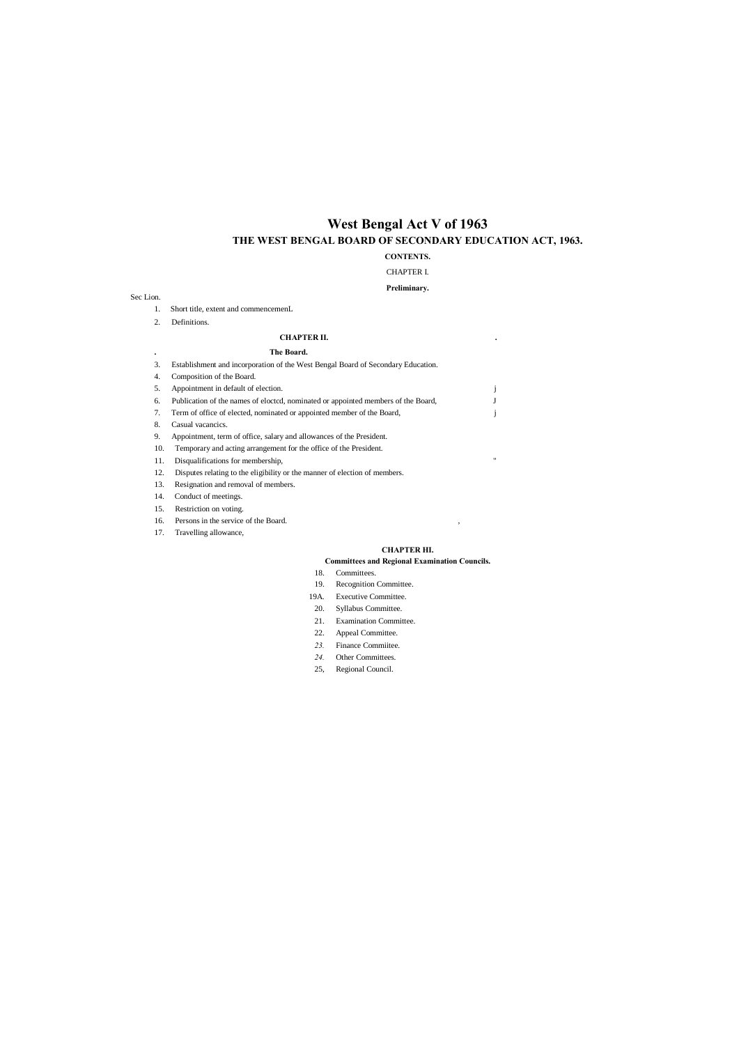# **West Bengal Act V of 1963 THE WEST BENGAL BOARD OF SECONDARY EDUCATION ACT, 1963.**

### **CONTENTS.**

### CHAPTER I.

### **Preliminary.**

#### Sec Lion.

- 1. Short title, extent and commencemenL
- 2. Definitions.

#### **CHAPTER II. .**

### **. The Board.**

| 3.  | Establishment and incorporation of the West Bengal Board of Secondary Education.  |             |
|-----|-----------------------------------------------------------------------------------|-------------|
| 4.  | Composition of the Board.                                                         |             |
| 5.  | Appointment in default of election.                                               |             |
| 6.  | Publication of the names of elocted, nominated or appointed members of the Board, |             |
| 7.  | Term of office of elected, nominated or appointed member of the Board,            |             |
| 8.  | Casual vacancics.                                                                 |             |
| 9.  | Appointment, term of office, salary and allowances of the President.              |             |
| 10. | Temporary and acting arrangement for the office of the President.                 |             |
| 11. | Disqualifications for membership,                                                 | $^{\prime}$ |

12. Disputes relating to the eligibility or the manner of election of members.

- 13. Resignation and removal of members.
- 14. Conduct of meetings.
- 15. Restriction on voting.
- 16. Persons in the service of the Board.  $\,$ ,
- 17. Travelling allowance,

#### **CHAPTER HI.**

#### **Committees and Regional Examination Councils.**

- 18. Committees.
- 19. Recognition Committee.
- 19A. Executive Committee.
- 20. Syllabus Committee.
- 21. Examination Committee.
- 22. Appeal Committee.
- *23.* Finance Commiitee.
- *24.* Other Committees.
- 25, Regional Council.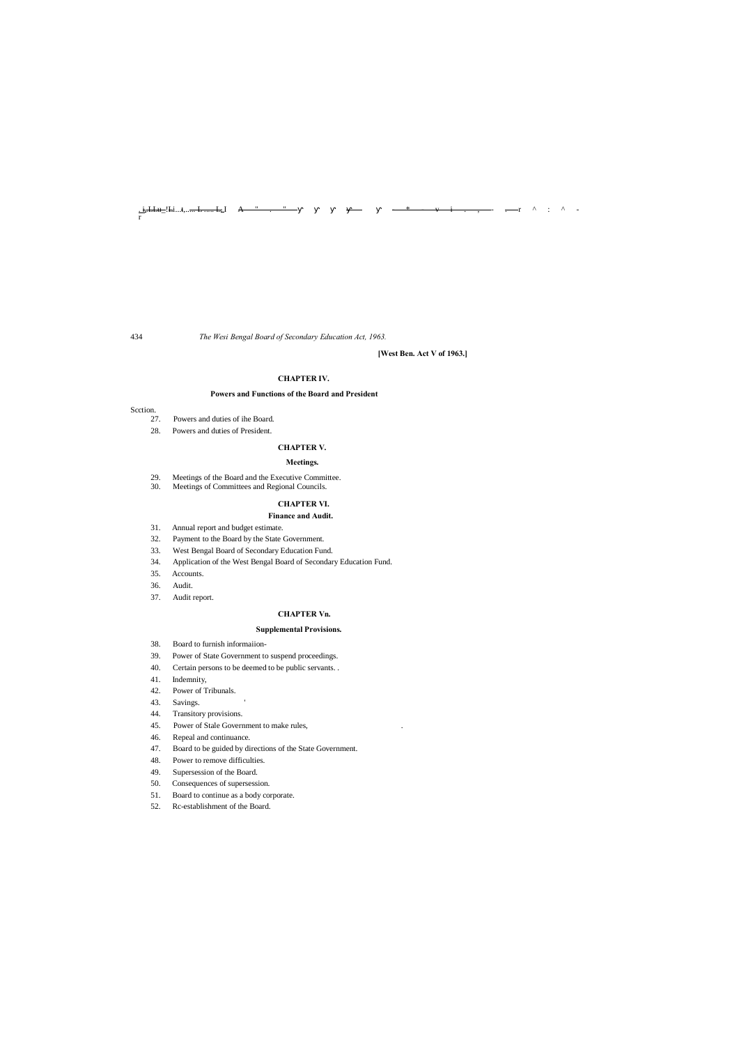<u>. i.</u>.<del>.LLu</del>\_'!-i...t,...<del>... L ..... L<sub>e</sub>l</del> A " . " \_\_\_ \_\_\_ \_\* \_\_\_ \_\_\_ \_\_\_ v \_\_\_ i \_\_\_ , \_\_\_ , \_\_\_ r ^ \_ : ^ \_ -

r

434 *The Wesi Bengal Board of Secondary Education Act, 1963.*

**[West Ben. Act V of 1963.]**

#### **CHAPTER IV.**

#### **Powers and Functions of the Board and President**

#### Scction.

- 27. Powers and duties of ihe Board.
- 28. Powers and duties of President.

#### **CHAPTER V.**

#### **Meetings.**

- 29. Meetings of the Board and the Executive Committee.
- 30. Meetings of Committees and Regional Councils.

#### **CHAPTER VI.**

#### **Finance and Audit.**

- 31. Annual report and budget estimate.
- 32. Payment to the Board by the State Government.
- 33. West Bengal Board of Secondary Education Fund.
- 34. Application of the West Bengal Board of Secondary Education Fund.
- 35. Accounts.
- 36. Audit.
- 37. Audit report.

### **CHAPTER Vn.**

#### **Supplemental Provisions.**

- 38. Board to furnish informaiion-
- 39. Power of State Government to suspend proceedings.
- 40. Certain persons to be deemed to be public servants. .
- 41. Indemnity,
- 42. Power of Tribunals.
- 43. Savings.
- 44. Transitory provisions.
- 45. Power of Stale Government to make rules, .
- 46. Repeal and continuance.
- 47. Board to be guided by directions of the State Government.
- 48. Power to remove difficulties.
- 49. Supersession of the Board.
- 50. Consequences of supersession.
- 51. Board to continue as a body corporate.
- 52. Rc-establishment of the Board.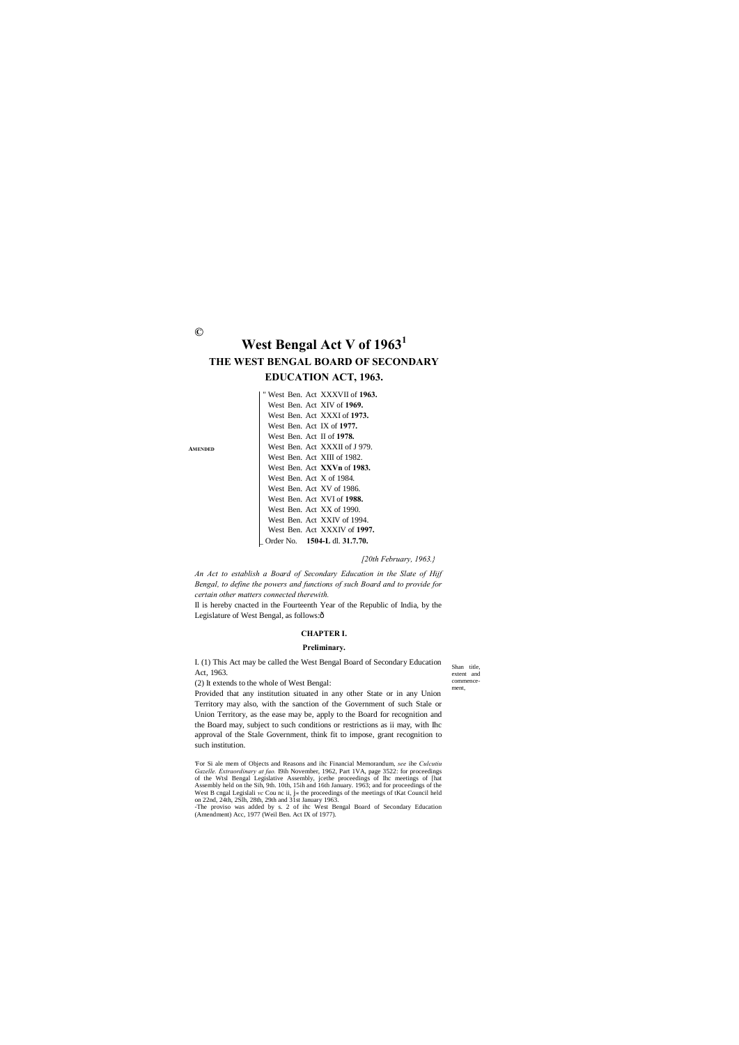**AMENDED**

Shan title, extent and commencement,

**©**

# **West Bengal Act V of 1963<sup>1</sup> THE WEST BENGAL BOARD OF SECONDARY**

## **EDUCATION ACT, 1963.**

#### *[20th February, 1963.}*

Il is hereby cnacted in the Fourteenth Year of the Republic of India, by the Legislature of West Bengal, as follows:ô

*An Act to establish a Board of Secondary Education in the Slate of Hijf Bengal, to define the powers and functions of such Board and to provide for certain other matters connected therewith.*

#### **CHAPTER I.**

#### **Preliminary.**

I. (1) This Act may be called the West Bengal Board of Secondary Education Act, 1963.

(2) It extends to the whole of West Bengal:

Provided that any institution situated in any other State or in any Union Territory may also, with the sanction of the Government of such Stale or Union Territory, as the ease may be, apply to the Board for recognition and the Board may, subject to such conditions or restrictions as ii may, with Ihc approval of the Stale Government, think fit to impose, grant recognition to such institution.

'For Si ale mem of Objects and Reasons and ihc Financial Memorandum, *see* ihe *Culcutiu Gazelle. Extraordinary at fao.* I9ih November, 1962, Part 1VA, page 3522: for proceedings of the Wtsl Bengal Legislative Assembly, jcethe proceedings of Ihc meetings of [hat Assembly held on the Sih, 9th. 10th, 15ih and 16th January. 1963; and for proceedings of the West B cngal Legislali *vc* Cou nc ii, j« the proceedings of the meetings of tKat Council held on 22nd, 24th, 2Slh, 28th, 29th and 31st January 1963. -The proviso was added by s. 2 of ihc West Bengal Board of Secondary Education (Amendment) Acc, 1977 (Weil Ben. Act IX of 1977).

" West Ben. Act XXXVII of **1963.** West Ben. Act XIV of **1969.** West Ben. Act XXXI of **1973.** West Ben. Act IX of **1977.** West Ben. Act II of **1978.** West Ben. Act XXXII of J 979. West Ben. Act XIII of 1982. West Ben. Act **XXVn** of **1983.** West Ben. Act X of 1984. West Ben. Act XV of 1986. West Ben. Act XVI of **1988.** West Ben. Act XX of 1990. West Ben. Act XXIV of 1994. West Ben. Act XXXIV of **1997.** \_ Order No. **1504-L** dl. **31.7.70.**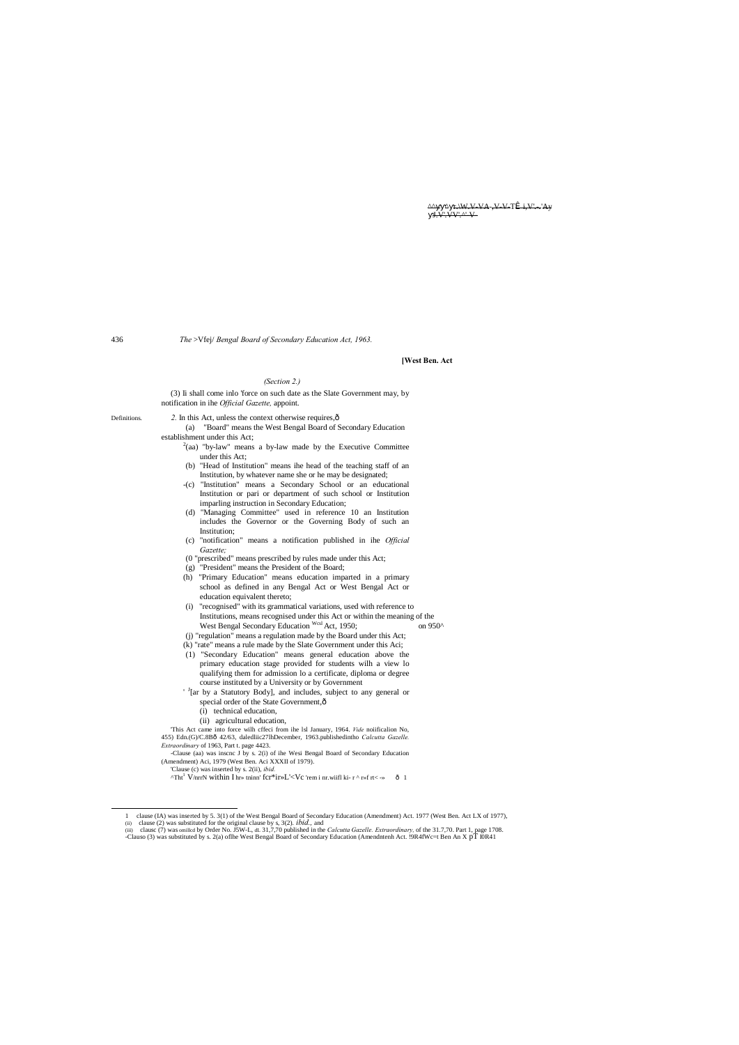$\Delta$   $\Delta$   $\Gamma$ , W.V-VA-, V-V-TÎ i, V'...'Ay  $J.V.V.V.$ 

436 *The* >Vfej/ *Bengal Board of Secondary Education Act, 1963.*

#### **[West Ben. Act**

#### *(Section 2.)*

(3) Ii shall come inlo 'force on such date as the Slate Government may, by notification in ihe *Official Gazette,* appoint.

Definitions. 2. In this Act, unless the context otherwise requires,  $\hat{o}$ 

(a) "Board" means the West Bengal Board of Secondary Education establishment under this Act;

- $2$ (aa) "by-law" means a by-law made by the Executive Committee under this Act;
- (b) "Head of Institution" means ihe head of the teaching staff of an Institution, by whatever name she or he may be designated;
- -(c) "Institution" means a Secondary School or an educational Institution or pari or department of such school or Institution imparling instruction in Secondary Education;
- (d) "Managing Committee" used in reference 10 an Institution includes the Governor or the Governing Body of such an Institution;
- (c) "notification" means a notification published in ihe *Official Gazette;*
- (0 "prescribed" means prescribed by rules made under this Act;
- (g) "President" means the President of the Board;
- (h) "Primary Education" means education imparted in a primary school as defined in any Bengal Act or West Bengal Act or education equivalent thereto;
- (i) "recognised" with its grammatical variations, used with reference to Institutions, means recognised under this Act or within the meaning of the West Bengal Secondary Education Wcsl Act, 1950; on 950^
- (j) "regulation" means a regulation made by the Board under this Act;
- (k) "rate" means a rule made by the Slate Government under this Aci;
- (1) "Secondary Education" means general education above the primary education stage provided for students wilh a view lo qualifying them for admission lo a certificate, diploma or degree course instituted by a University or by Government
- <sup>J</sup>[ar by a Statutory Body], and includes, subject to any general or special order of the State Government, $\hat{o}$ 
	- (i) technical education,
	- (ii) agricultural education,

- 'Clause (c) was inserted by s. 2(ii), *ibid.*
- ^Tht<sup>1</sup> V/nrrN within I hr» tninn' fcr\*ir»L'<Vc 'rem i nr.wiifl ki- r ^ r»f rt< -» ô 1

'This Act came into force wilh cffeci from ihe lsl January, 1964. *Vide* noiificalion No, 455) Edn.(G)/C.8B—42/63, daledliic27lhDecember, 1963.publishedintho *Calcutta Gazelle. Extraordinary* of 1963, Part t. page 4423.

-Clause (aa) was inscnc J by s. 2(i) of ihe Wesi Bengal Board of Secondary Education (Amendment) Aci, 1979 (West Ben. Aci XXXII of 1979).

(ii) clause (2) was substituted for the original clause by s, 3(2). *ibid.*, and<br>(iii) clause (7) was omiled by Order No. J5W-L, dL 31,7,70 published in the *Calcutta Gazelle. Extraordinary*, of the 31.7,70. Part 1, page

-Clauso (3) was substituted by s. 2(a) of the West Bengal Board of Secondary Education (Amendntenh Act. !9R4fWc=t Ben An X pT I0R41

 <sup>1</sup> clause (IA) was inserted by 5. 3(1) of the West Bengal Board of Secondary Education (Amendment) Act. 1977 (West Ben. Act LX of 1977),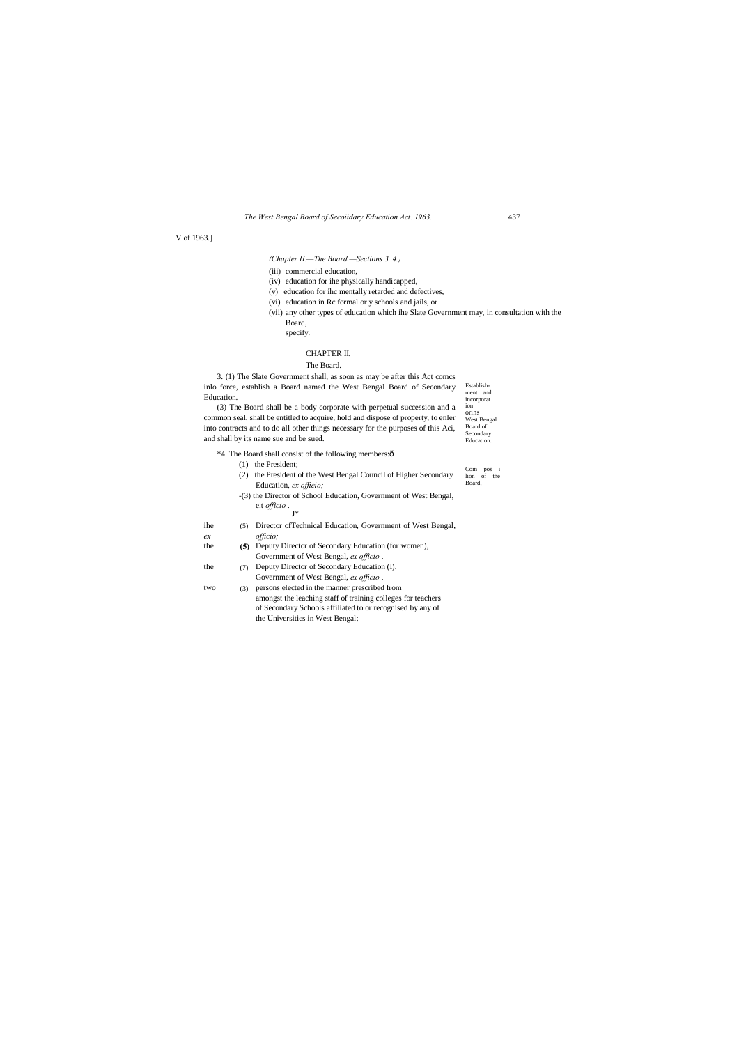ion orihs West Bengal Board of Secondary

**Education** Com pos i lion of the

*The West Bengal Board of Secoiidary Education Act. 1963.* 437

V of 1963.]

*(Chapter II.—The Board.—Sections 3. 4.)*

(iii) commercial education,

Establishment and incorporat 3. (1) The Slate Government shall, as soon as may be after this Act comcs inlo force, establish a Board named the West Bengal Board of Secondary Education.

- (iv) education for ihe physically handicapped,
- (v) education for ihc mentally retarded and defectives,
- (vi) education in Rc formal or y schools and jails, or
- 
- (vii) any other types of education which ihe Slate Government may, in consultation with the Board,
	- specify.

#### CHAPTER II.

#### The Board.

(3) The Board shall be a body corporate with perpetual succession and a common seal, shall be entitled to acquire, hold and dispose of property, to enler into contracts and to do all other things necessary for the purposes of this Aci, and shall by its name sue and be sued.

\*4. The Board shall consist of the following members:—

- (1) the President;
- Board, (2) the President of the West Bengal Council of Higher Secondary Education, *ex officio;*
- -(3) the Director of School Education, Government of West Bengal, e.t *officio-.*
	- J\*
- ihe (5) Director of Technical Education, Government of West Bengal, *ex officio;*
- the **(5)** Deputy Director of Secondary Education (for women), Government of West Bengal, *ex officio-,*
- the (7) Deputy Director of Secondary Education (I). Government of West Bengal, *ex officio-,*
- (3) two (3) persons elected in the manner prescribed from amongst the leaching staff of training colleges for teachers of Secondary Schools affiliated to or recognised by any of the Universities in West Bengal;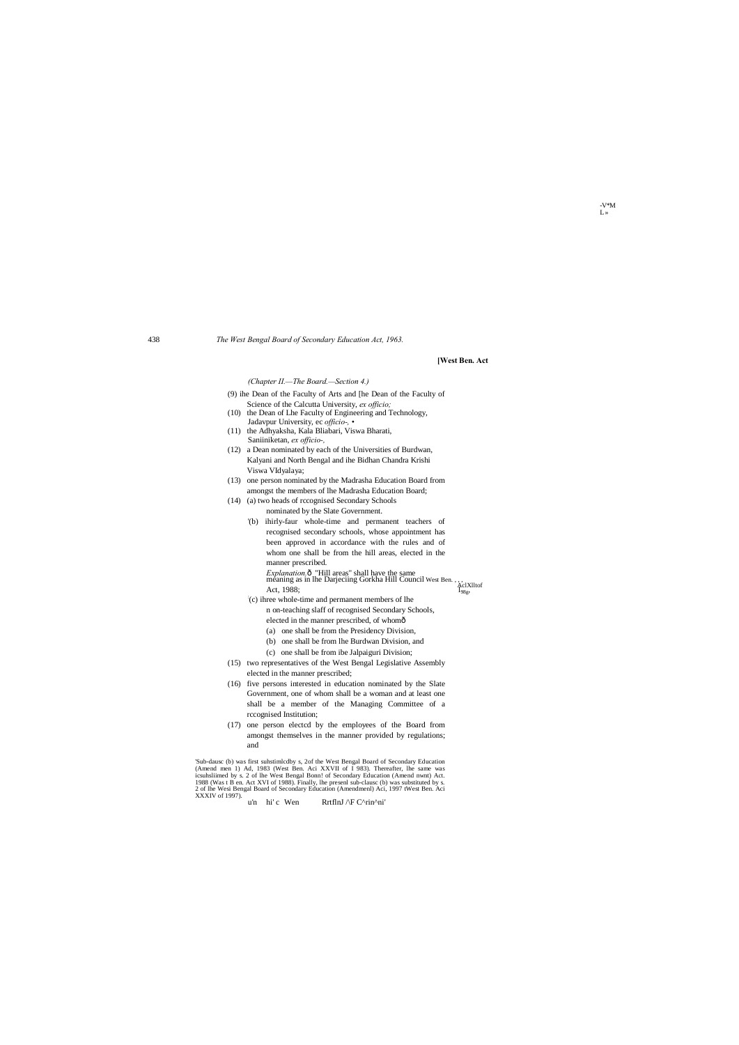#### 438 *The West Bengal Board of Secondary Education Act, 1963.*

| (9) ihe Dean of the Faculty of Arts and The Dean of the Faculty of |  |                                                 |  |  |
|--------------------------------------------------------------------|--|-------------------------------------------------|--|--|
|                                                                    |  | Science of the Calcutta University, ex officio. |  |  |

#### **[West Ben. Act**

#### *(Chapter II.—The Board.—Section 4.)*

'Sub-dausc (b) was first suhstimlcdby s, 2of the West Bengal Board of Secondary Education (Amend men 1) Ad, 1983 (West Ben. Aci XXVII of I 983). Thereafter, lhe same was icsuhsliimed by s. 2 of lhe West Bengal Bonn! of Secondary Education (Amend nwnt) Act. 1988 (Was t B en. Act XVI of 1988). Finally, lhe presenl sub-clausc (b) was substituted by s. 2 of lhe Wesi Bengal Board of Secondary Education (Amendmenl) Aci, 1997 tWest Ben. Aci XXXIV of 1997).<br>
u'n hi' c Wen RrtflnJ /\F C^rin^ni'

- (10) the Dean of Lhe Faculty of Engineering and Technology, Jadavpur University, ec *officio-, •*
- (11) the Adhyaksha, Kala Bliabari, Viswa Bharati, Saniiniketan, *ex officio-,*
- (12) a Dean nominated by each of the Universities of Burdwan, Kalyani and North Bengal and ihe Bidhan Chandra Krishi Viswa VIdyalaya;
- (13) one person nominated by the Madrasha Education Board from amongst the members of lhe Madrasha Education Board;
- (14) (a) two heads of rccognised Secondary Schools
	- nominated by the Slate Government.
	- '(b) ihirly-faur whole-time and permanent teachers of recognised secondary schools, whose appointment has been approved in accordance with the rules and of whom one shall be from the hill areas, elected in the manner prescribed.
	- *Explanation.* 6 "Hill areas" shall have the same<br>meaning as in lhe Darjeciing Gorkha Hill Council West Ben. , , , ,<br>Act, 1988;<br>(a) il the underlying and parmenent members of lbs
	- (c) ihree whole-time and permanent members of lhe n on-teaching slaff of recognised Secondary Schools, elected in the manner prescribed, of whomô
		- (a) one shall be from the Presidency Division,
		- (b) one shall be from lhe Burdwan Division, and
		- (c) one shall be from ibe Jalpaiguri Division;
- (15) two representatives of the West Bengal Legislative Assembly elected in the manner prescribed;
- (16) five persons interested in education nominated by the Slate Government, one of whom shall be a woman and at least one shall be a member of the Managing Committee of a rccognised Institution;
- (17) one person electcd by the employees of the Board from amongst themselves in the manner provided by regulations; and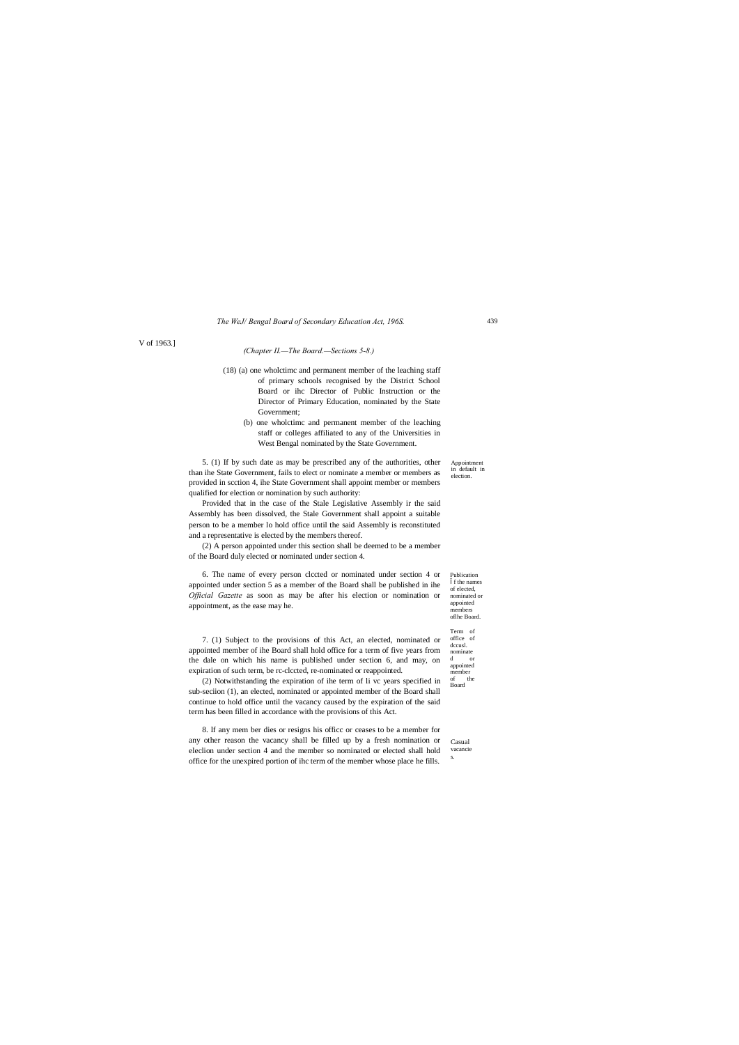Appointment in default in election

Publication f the names of elected, nominated or appointed members oflhe Board.

Term of office of dccusl. nominate d or appointed member<br>of th the Board

#### *The WeJ/ Bengal Board of Secondary Education Act, 196S.*

V of 1963.]

#### *(Chapter II.—The Board.—Sections 5-8.)*

- (18) (a) one wholctimc and permanent member of the leaching staff of primary schools recognised by the District School Board or ihc Director of Public Instruction or the Director of Primary Education, nominated by the State Government;
	- (b) one wholctimc and permanent member of the leaching staff or colleges affiliated to any of the Universities in West Bengal nominated by the State Government.

5. (1) If by such date as may be prescribed any of the authorities, other than ihe State Government, fails to elect or nominate a member or members as provided in scction 4, ihe State Government shall appoint member or members qualified for election or nomination by such authority:

Provided that in the case of the Stale Legislative Assembly ir the said Assembly has been dissolved, the Stale Government shall appoint a suitable person to be a member lo hold office until the said Assembly is reconstituted and a representative is elected by the members thereof.

(2) A person appointed under this section shall be deemed to be a member of the Board duly elected or nominated under section 4.

Casual vacancie s. 8. If any mem ber dies or resigns his officc or ceases to be a member for any other reason the vacancy shall be filled up by a fresh nomination or eleclion under section 4 and the member so nominated or elected shall hold office for the unexpired portion of ihc term of the member whose place he fills.

6. The name of every person clccted or nominated under section 4 or appointed under section 5 as a member of the Board shall be published in ihe *Official Gazette* as soon as may be after his election or nomination or appointment, as the ease may he.

7. (1) Subject to the provisions of this Act, an elected, nominated or appointed member of ihe Board shall hold office for a term of five years from the dale on which his name is published under section 6, and may, on expiration of such term, be rc-clccted, re-nominated or reappointed.

(2) Notwithstanding the expiration of ihe term of li vc years specified in sub-seciion (1), an elected, nominated or appointed member of the Board shall continue to hold office until the vacancy caused by the expiration of the said term has been filled in accordance with the provisions of this Act.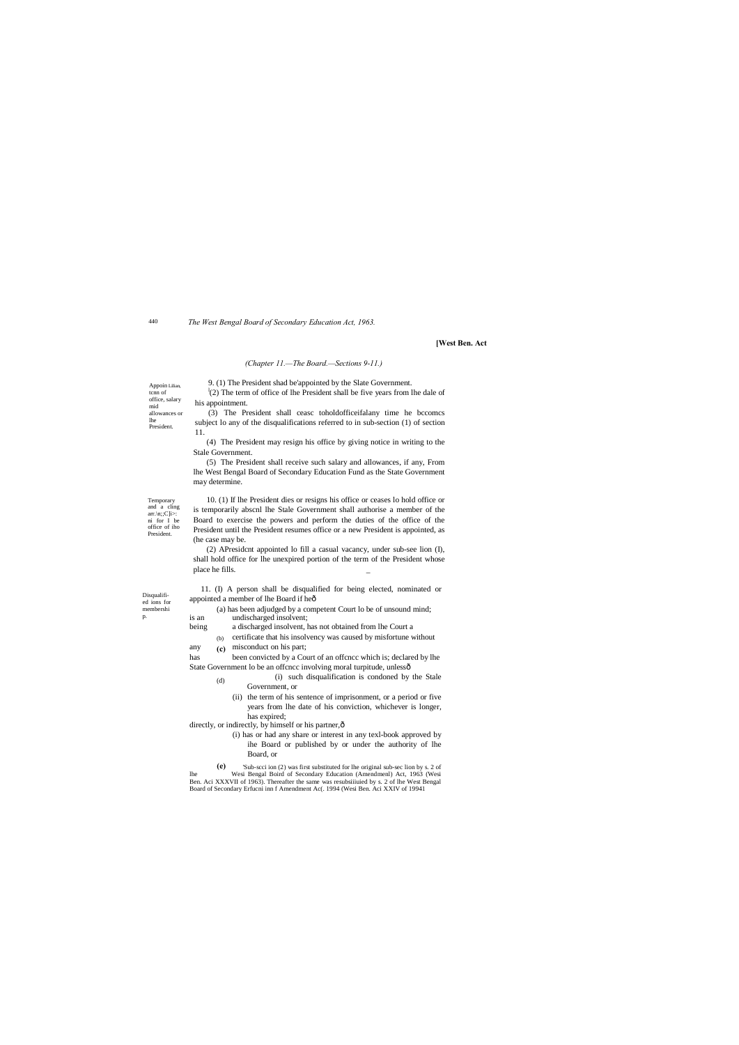Temporary and a cling arr. $\langle n; C \rangle$ i>: ni for I be office of iho President.

> **(c)** any (c) misconduct on his part;

has been convicted by a Court of an offcncc which is; declared by lhe State Government lo be an offcncc involving moral turpitude, unlessô

**(e)** 'Sub-scci ion (2) was first substituted for lhe original sub-sec lion by s. 2 of lhe Wesi Bengal Boird of Secondary Education (Amendmenl) Act, 1963 (Wesi Ben. Aci XXXVII of 1963). Thereafter the same was resubsiiiuied by s. 2 of lhe West Bengal dary Erfucni inn f Amendment Ac(. 1994 (Wesi Ben. Aci XXIV of 19941

Appoin Lilian, tcnn of office, salary mid allowances or lhe President.

440 *The West Bengal Board of Secondary Education Act, 1963.*

Disqualified ions for membershi p.

 $\binom{n}{2}$  The term of office of lhe President shall be five years from lhe dale of his appointment. (3) The President shall ceasc toholdofficeifalany time he bccomcs

#### **[West Ben. Act**

#### *(Chapter 11.—The Board.—Sections 9-11.)*

9. (1) The President shad be'appointed by the Slate Government.

subject lo any of the disqualifications referred to in sub-section (1) of section 11.

(4) The President may resign his office by giving notice in writing to the Stale Government.

11. (I) A person shall be disqualified for being elected, nominated or appointed a member of lhe Board if heô

(5) The President shall receive such salary and allowances, if any, From lhe West Bengal Board of Secondary Education Fund as the State Government may determine.

(b) certificate that his insolvency was caused by misfortune without

10. (1) If lhe President dies or resigns his office or ceases lo hold office or is temporarily abscnl lhe Stale Government shall authorise a member of the Board to exercise the powers and perform the duties of the office of the President until the President resumes office or a new President is appointed, as (he case may be.

- (d) (i) such disqualification is condoned by the Stale Government, or
	- (ii) the term of his sentence of imprisonment, or a period or five years from lhe date of his conviction, whichever is longer, has expired;

directly, or indirectly, by himself or his partner, ô

(2) APresidcnt appointed lo fill a casual vacancy, under sub-see lion (I), shall hold office for lhe unexpired portion of the term of the President whose place he fills. \_

(a) has been adjudged by a competent Court lo be of unsound mind; is an undischarged insolvent;

being a discharged insolvent, has not obtained from lhe Court a

(i) has or had any share or interest in any texl-book approved by ihe Board or published by or under the authority of lhe Board, or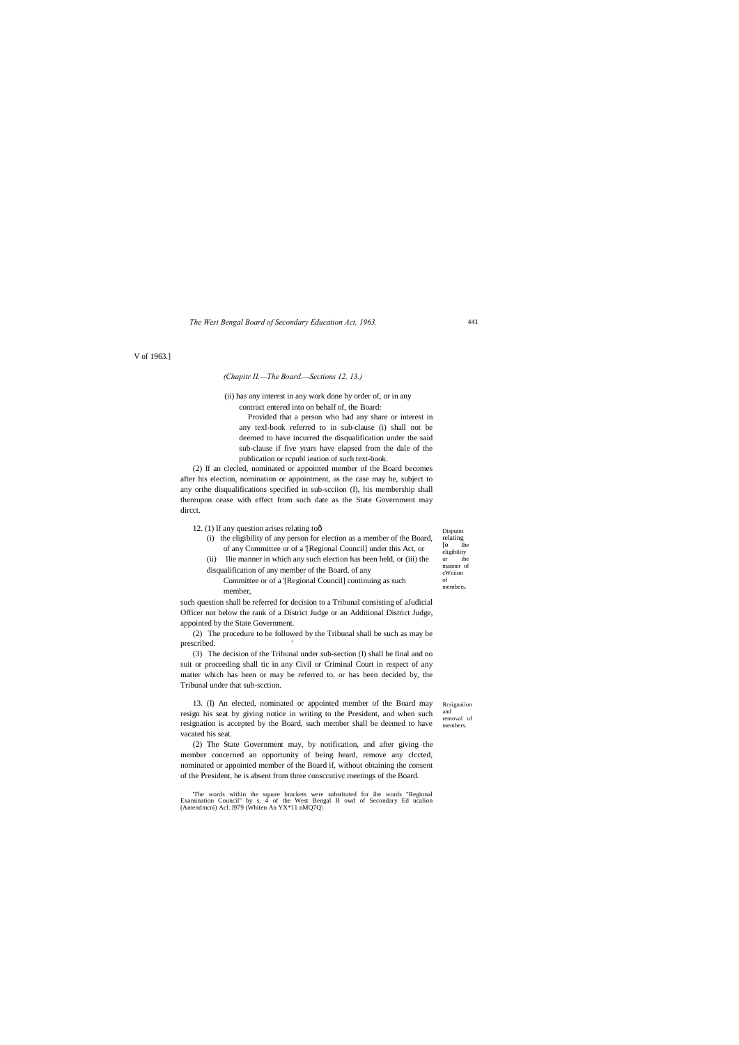Disputes relating [o Ihe eligibility or ibe manner of cWciion of members.

Rcsignaiion and removal of members.

#### *The West Bengal Board of Secondary Education Act, 1963.*

V of 1963.]

#### *(Chapitr II.—The Board.—Sections 12, 13.)*

(ii) has any interest in any work done by order of, or in any contract entered into on behalf of, the Board:

Provided that a person who had any share or interest in any texl-book referred to in sub-clause (i) shall not be deemed to have incurred the disqualification under the said sub-clause if five years have elapsed from the dale of the publication or rcpubl ieation of such text-book.

(2) The procedure to be followed by the Tribunal shall be such as may be prescribed.

(2) If an clecled, nominated or appointed member of the Board becomes after his election, nomination or appointment, as the case may he, subject to any orthe disqualifications specified in sub-scciion (I), his membership shall thereupon cease with effect from such date as the State Government may dircct.

12. (1) If any question arises relating to $\hat{o}$ 

(i) the eligibility of any person for election as a member of the Board, of any Committee or of a '[Regional Council] under this Act, or (ii) llie manner in which any such election has been held, or (iii) the disqualification of any member of the Board, of any

Committee or of a '[Regional Council] continuing as such member,

such question shall be referred for decision to a Tribunal consisting of aJudicial Officer not below the rank of a District Judge or an Additional District Judge, appointed by the State Government.

(3) The decision of the Tribunal under sub-section (I) shall be final and no suit or proceeding shall tic in any Civil or Criminal Court in respect of any matter which has been or may be referred to, or has been decided by, the Tribunal under that sub-scction.

13. (I) An elected, nominated or appointed member of the Board may resign his seat by giving notice in writing to the President, and when such resignation is accepted by the Board, such member shall be deemed to have vacated his seat.

(2) The State Government may, by notification, and after giving the member concerned an opportunity of being heard, remove any clccted, nominated or appointed member of the Board if, without obtaining the consent of the President, he is absent from three consccutivc meetings of the Board.

'The words within the square brackets were substituted for ihe words "Regional Examination Council" by s, 4 of the West Bengal B owd of Secondary Ed ucalion (Amendmcni) Acl. I979 (Whiten An YX\*11 nMQ7Q\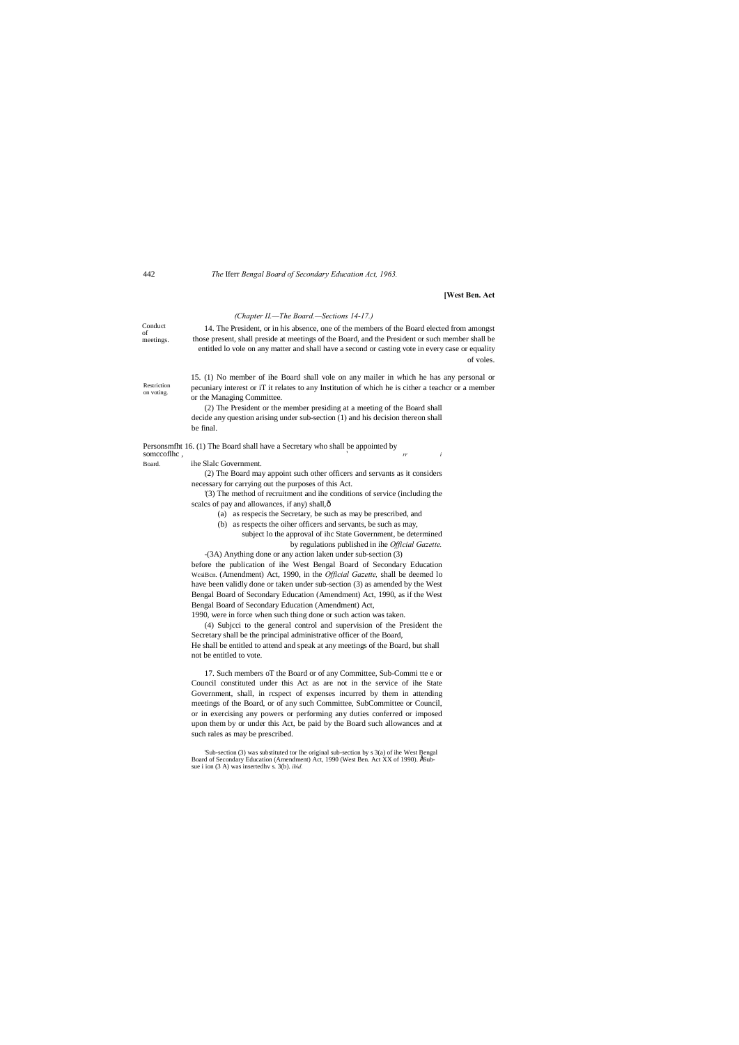#### 442 *The* Iferr *Bengal Board of Secondary Education Act, 1963.*

#### **[West Ben. Act**

of voles.

Conduct of meetings. Restriction on voting. *(Chapter II.—The Board.—Sections 14-17.)* 14. The President, or in his absence, one of the members of the Board elected from amongst those present, shall preside at meetings of the Board, and the President or such member shall be entitled lo vole on any matter and shall have a second or casting vote in every case or equality 15. (1) No member of ihe Board shall vole on any mailer in which he has any personal or pecuniary interest or iT it relates to any Institution of which he is cither a teachcr or a member or the Managing Committee. (2) The President or the member presiding at a meeting of the Board shall decide any question arising under sub-section (1) and his decision thereon shall be final. Personsmfht 16. (1) The Board shall have a Secretary who shall be appointed by somccoflhc,  $\frac{r}{r}$  *i* Board. ihe Slalc Government. (2) The Board may appoint such other officers and servants as it considers necessary for carrying out the purposes of this Act. '(3) The method of recruitment and ihe conditions of service (including the scalcs of pay and allowances, if any) shall, $\hat{o}$ (a) as respecis the Secretary, be such as may be prescribed, and (b) as respects the oiher officers and servants, be such as may, subject lo the approval of ihc State Government, be determined by regulations published in ihe *Official Gazette.* -(3A) Anything done or any action laken under sub-section (3) before the publication of ihe West Bengal Board of Secondary Education WcsiBcn. (Amendment) Act, 1990, in the *Official Gazette,* shall be deemed lo have been validly done or taken under sub-section (3) as amended by the West Bengal Board of Secondary Education (Amendment) Act, 1990, as if the West Bengal Board of Secondary Education (Amendment) Act, 1990, were in force when such thing done or such action was taken. (4) Subjcci to the general control and supervision of the President the

Secretary shall be the principal administrative officer of the Board, He shall be entitled to attend and speak at any meetings of the Board, but shall not be entitled to vote.

17. Such members oT the Board or of any Committee, Sub-Commi tte e or Council constituted under this Act as are not in the service of ihe State Government, shall, in rcspect of expenses incurred by them in attending meetings of the Board, or of any such Committee, SubCommittee or Council, or in exercising any powers or performing any duties conferred or imposed upon them by or under this Act, be paid by the Board such allowances and at such rales as may be prescribed.

<sup>&#</sup>x27;Sub-section (3) was substituted tor Ihe original sub-section by s 3(a) of ihe West Bengal Board of Secondary Education (Amendment) Act, 1990 (West Ben. Act XX of 1990). ÉSubsue i ion (3 A) was insertedhv s. 3(b). *ibid.*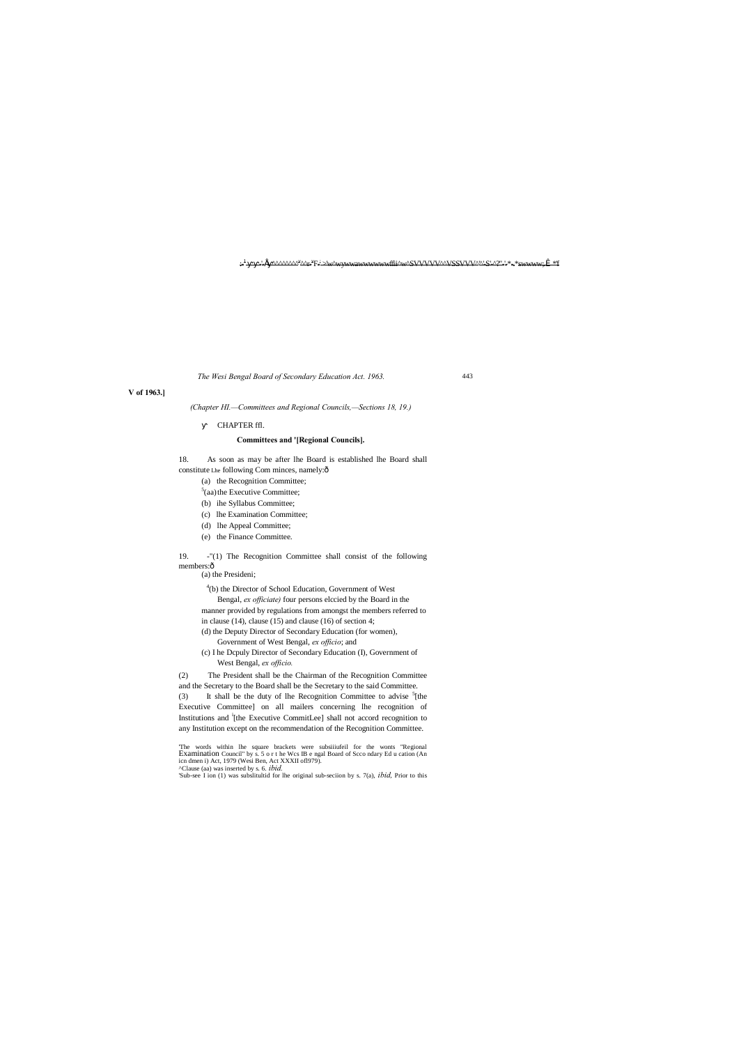:- <u>+\_\_\_\_\_'\_f\_^^^^^^^^\*^^\*</u>E\_i>\w^\wywwawwwwwwffii^w^SVVVVV^VSSVVV^^'S'\_^?''-'\*-.\*swwww;,Î\_\*'f

*The Wesi Bengal Board of Secondary Education Act. 1963.*

#### **V of 1963.]**

*(Chapter HI.—Committees and Regional Councils,—Sections 18, 19.)*

#### CHAPTER ffl.

#### **Committees and '[Regional Councils].**

19. -"(1) The Recognition Committee shall consist of the following members:ô

18. As soon as may be after lhe Board is established lhe Board shall

constitute Lhe following Com minces, namely:ô

- (a) the Recognition Committee;
- $5$ (aa) the Executive Committee; (b) ihe Syllabus Committee;
- (c) lhe Examination Committee;
- 
- (d) lhe Appeal Committee; (e) the Finance Committee.

(a) the Presideni;

4 (b) the Director of School Education, Government of West Bengal, *ex officiate)* four persons elccied by the Board in the manner provided by regulations from amongst the members referred to

in clause (14), clause (15) and clause (16) of section 4;

- (d) the Deputy Director of Secondary Education (for women), Government of West Bengal, *ex officio*; and
- (c) I he Dcpuly Director of Secondary Education (I), Government of West Bengal, *ex officio.*

(2) The President shall be the Chairman of the Recognition Committee

and the Secretary to the Board shall be the Secretary to the said Committee. (3) It shall be the duty of lhe Recognition Committee to advise  ${}^{5}$ [the Executive Committee] on all mailers concerning lhe recognition of Institutions and <sup>i</sup>[the Executive CommitLee] shall not accord recognition to any Institution except on the recommendation of the Recognition Committee.

'The words within lhe square brackets were subsiiiufeil for the wonts "Regional Examination Council" by s. 5 o r t he Wcs IB e ngal Board of Scco ndary Ed u cation (An icn dmen i) Act, 1979 (Wesi Ben, Act XXXII ofl979). ^Clause (aa) was inserted by s. 6. *ibid.*

'Sub-see I ion (1) was subslitultid for lhe original sub-seciion by s. 7(a), *ibid,* Prior to this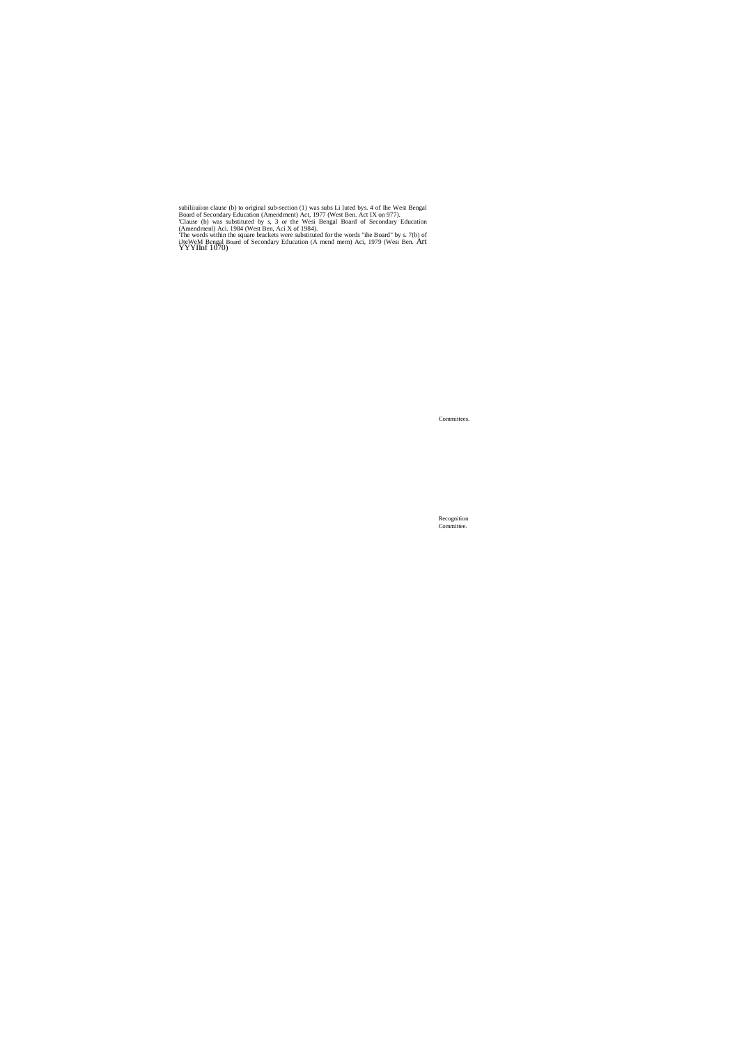subiliumion clause (b) to original sub-section (1) was subs Li luted bys. 4 of lhe West Bengal<br>Board of Secondary Education (Amendment) Act, 1977 (West Ben. Act IX on 977).<br>Clause (b) was substituted by s, 3 or the Wesi Be

Committees.

Recognition Committee.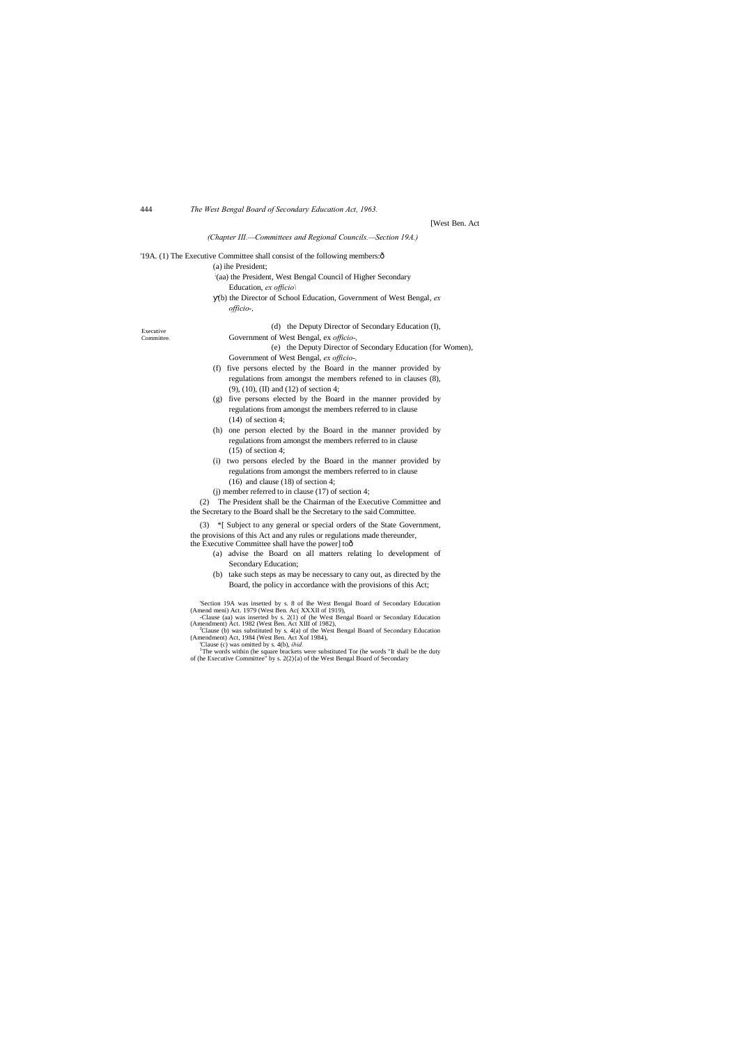444 *The West Bengal Board of Secondary Education Act, 1963.*

|            | [West Ben. A                                                                      |
|------------|-----------------------------------------------------------------------------------|
|            | (Chapter III.-Committees and Regional Councils.-Section 19A.)                     |
|            | 19A. (1) The Executive Committee shall consist of the following members: ô        |
|            | (a) ihe President;                                                                |
|            | (aa) the President, West Bengal Council of Higher Secondary                       |
|            | Education, ex officio                                                             |
|            | (b) the Director of School Education, Government of West Bengal, ex               |
|            | officio-,                                                                         |
| Executive  | (d) the Deputy Director of Secondary Education (I),                               |
| Committee. | Government of West Bengal, ex officio-,                                           |
|            | (e) the Deputy Director of Secondary Education (for Women),                       |
|            | Government of West Bengal, ex officio-,                                           |
|            | (f) five persons elected by the Board in the manner provided by                   |
|            | regulations from amongst the members refened to in clauses (8),                   |
|            | $(9)$ , $(10)$ , $(II)$ and $(12)$ of section 4;                                  |
|            | (g) five persons elected by the Board in the manner provided by                   |
|            | regulations from amongst the members referred to in clause                        |
|            | $(14)$ of section 4;                                                              |
|            | (h) one person elected by the Board in the manner provided by                     |
|            | regulations from amongst the members referred to in clause                        |
|            | $(15)$ of section 4;                                                              |
|            | (i) two persons elected by the Board in the manner provided by                    |
|            | regulations from amongst the members referred to in clause                        |
|            | $(16)$ and clause $(18)$ of section 4;                                            |
|            | (i) member referred to in clause $(17)$ of section 4;                             |
|            | The President shall be the Chairman of the Executive Committee and<br>(2)         |
|            | the Secretary to the Board shall be the Secretary to the said Committee.          |
|            | *[ Subject to any general or special orders of the State Government,<br>(3)       |
|            | the provisions of this Act and any rules or regulations made thereunder,          |
|            | the Executive Committee shall have the power] toô                                 |
|            | (a) advise the Board on all matters relating lo development of                    |
|            | Secondary Education;                                                              |
|            | (b) take such steps as may be necessary to cany out, as directed by the           |
|            | Board, the policy in accordance with the provisions of this Act;                  |
|            | Soction 10A, was insetted by s. 8 of the West Rengal Reard of Secondary Education |

Act

'Section 19A was insetted by s. 8 of Ine West Bengal Board of Secondary Education (Amend meni) Act. 1979 (West Ben. Ac( XXXII of 1919),<br>
- Clause (aa) was insetted by s. 2(1) of (he West Bengal Board or Secondary Education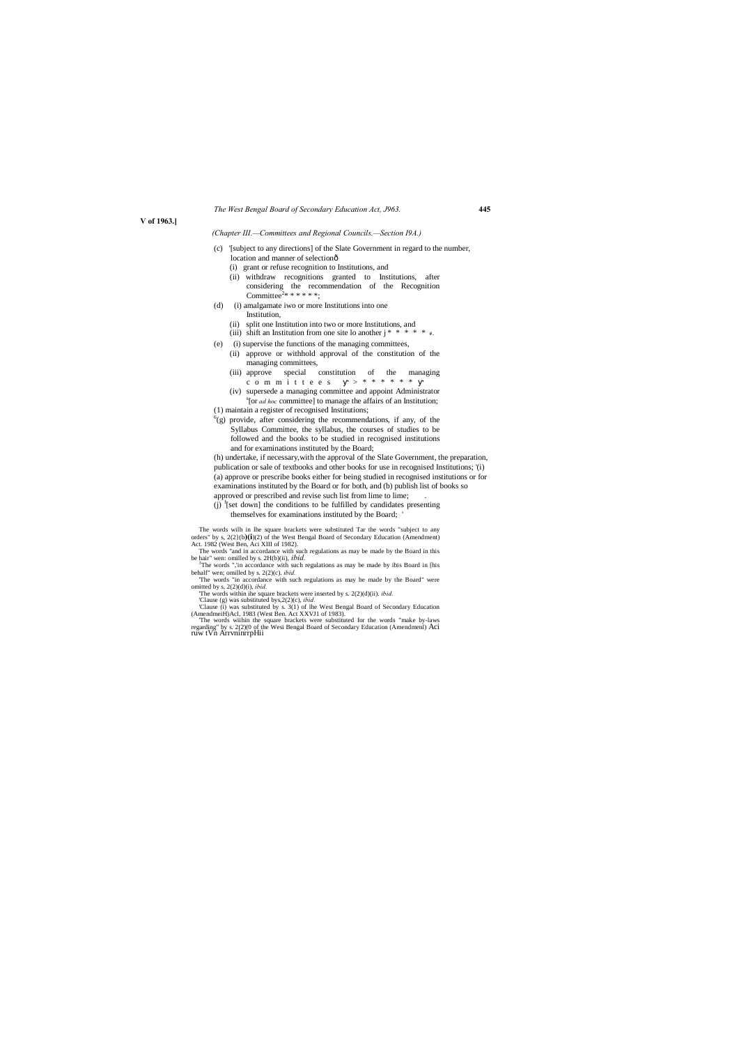#### *The West Bengal Board of Secondary Education Act, J963.* **445**

**V of 1963.]**

#### *(Chapter III.—Committees and Regional Councils.—Section I9A.)*

(h) undertake, if necessary,with the approval of the Slate Government, the preparation, publication or sale of textbooks and other books for use in recognised Institutions; '(i) (a) approve or prescribe books either for being studied in recognised institutions or for examinations instituted by the Board or for both, and (b) publish list of books so approved or prescribed and revise such list from lime to lime;

 $(j)$ <sup>f</sup>[set down] the conditions to be fulfilled by candidates presenting

- (c) '[subject to any directions] of the Slate Government in regard to the number, location and manner of selectionô
	- (i) grant or refuse recognition to Institutions, and
	- (ii) withdraw recognitions granted to Institutions, after considering the recommendation of the Recognition Committee<sup>2</sup>\* \* \* \* \* \*;
- (d) (i) amalgamate iwo or more Institutions into one Institution,
	- (ii) split one Institution into two or more Institutions, and
	- (iii) shift an Institution from one site lo another j \* \* \* \* \* *# .*
- (e) (i) supervise the functions of the managing committees,
- (ii) approve or withhold approval of the constitution of the managing committees,
	- (iii) approve special constitution of the managing<br>c o m m i t t e e s  $\rightarrow$  \* \* \* \* \* \* c o m m i t t e e s
	- (iv) supersede a managing committee and appoint Administrator s [or *ad hoc* committee] to manage the affairs of an Institution;
- (1) maintain a register of recognised Institutions;
- $^{6}$ (g) provide, after considering the recommendations, if any, of the Syllabus Committee, the syllabus, the courses of studies to be followed and the books to be studied in recognised institutions and for examinations instituted by the Board;

 $3$ The words ",'in accordance with such regulations as may be made by ibis Board in [his behalf" wen; omilled by s. 2(2)(c). *ibid.*

themselves for examinations instituted by the Board; '

The words wilh in lhe square brackets were substituted Tar the words "subject to any orders" by s, 2(2}(b**)(i**)(2) of the West Bengal Board of Secondary Education (Amendment) Act. 1982 (West Ben, Aci XIII of 1982).

The words "and in accordance with such regulations as may be made by the Board in this be hair" wen: omilled by s. 2H(b)(ii), *ibid.* <sup>3</sup>

'The words "in accordance with such regulations as may be made by the Board" were omitted by s, 2(2)(d)(i), *ibid.*

'The words within ihe square brackets were inserted by s. 2(2)(d)(ii). *ibid.* 'Clause (g) was substituted bys,2(2)(c), *ibid.*

'Clause (i) was substituted by s. 3(1) of lhe West Bengal Board of Secondary Education (AmendmeiH)Acl, 1983 (West Ben. Act XXVJ1 of 1983).<br>The words within the square brackets were substituted for the words "make by-laws T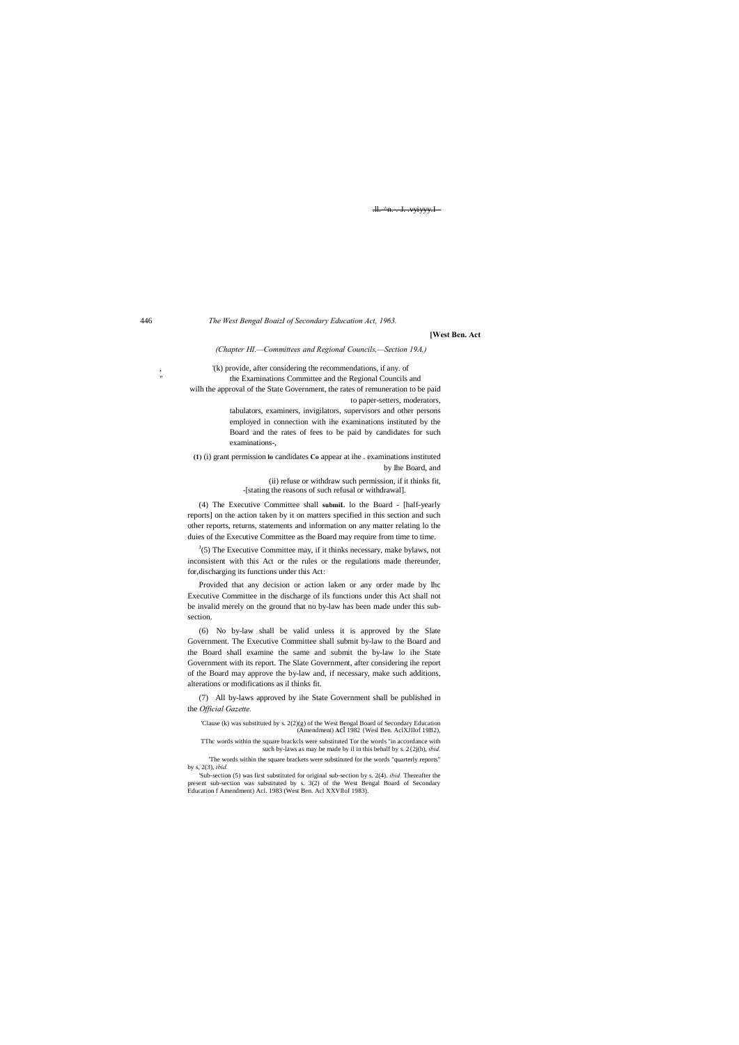.ll.-^n.-.J. .vyiyyy.I

446 *The West Bengal BoaizI of Secondary Education Act, 1963.*

**[West Ben. Act**

*(Chapter HI.—Committees and Regional Councils,—Section 19A.)*

, '(k) provide, after considering the recommendations, if any. of the Examinations Committee and the Regional Councils and wilh the approval of the State Government, the rates of remuneration to be paid to paper-setters, moderators,

> tabulators, examiners, invigilators, supervisors and other persons employed in connection with ihe examinations instituted by the Board and the rates of fees to be paid by candidates for such examinations-,

**(1)** (i) grant permission **lo** candidates **Co** appear at ihe . examinations instituted by Ihe Board, and

 $J(5)$  The Executive Committee may, if it thinks necessary, make bylaws, not inconsistent with this Act or the rules or the regulations made thereunder, for,discharging its functions under this Act:

(ii) refuse or withdraw such permission, if it thinks fit, -[stating the reasons of such refusal or withdrawal].

(4) The Executive Committee shall **submiL** lo the Board - [half-yearly reports] on the action taken by it on matters specified in this section and such other reports, returns, statements and information on any matter relating lo the duies of the Executive Committee as the Board may require from time to time.

Provided that any decision or action laken or any order made by Ihc Executive Committee in the discharge of ils functions under this Act shall not be invalid merely on the ground that no by-law has been made under this subsection.

(6) No by-law shall be valid unless it is approved by the Slate Government. The Executive Committee shall submit by-law to the Board and the Board shall examine the same and submit the by-law lo ihe State Government with its report. The Slate Government, after considering ihe report of the Board may approve the by-law and, if necessary, make such additions, alterations or modifications as il thinks fit.

(7) All by-laws approved by ihe State Government shall be published in the *Official Gazette.*

'Clause (k) was substituted by s. 2(2)(g) of the West Bengal Board of Secondary Education (Amendment) **A**cl 1982 {Wesl Ben. AclXJIIof 19B2),

TThc words within the square brackcls were substituted Tor the words "in accordance with such by-laws as may be made by il in this behalf by s. 2{2j(h), *ibid.*

'The words within the square brackets were substituted for the words "quarterly reports" by s, 2(3), *ibid.*

'Sub-section (5) was first substituted for original sub-section by s. 2(4). *ibid.* Thereafter the present sub-section was substituted by s. 3(2) of the West Bengal Board of Secondary Education f Amendment) Acl. 1983 (West Ben. Acl XXVIlof 1983).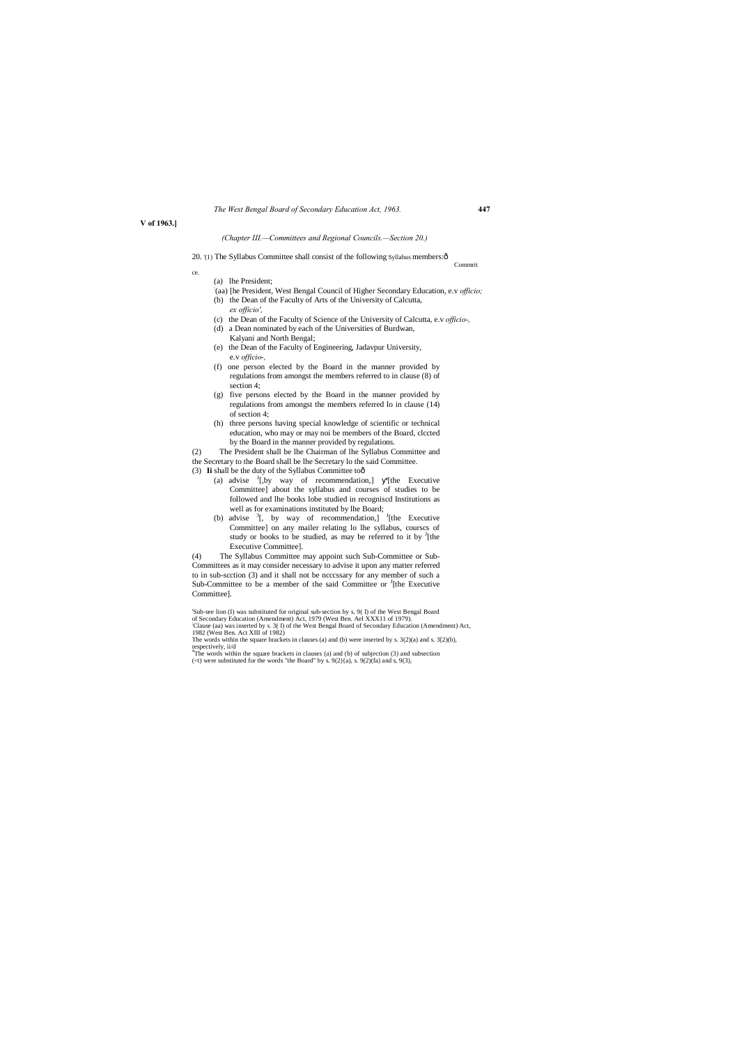|  |  | The West Bengal Board of Secondary Education Act, 1963. |  | 447 |
|--|--|---------------------------------------------------------|--|-----|
|  |  |                                                         |  |     |

**V of 1963.]**

#### *(Chapter III.—Committees and Regional Councils.—Section 20.)*

20. '(1) The Syllabus Committee shall consist of the following Syllabus members: $\hat{o}$ 

Commrit

ce.

(a) lhe President;

- : (aa) [he President, West Bengal Council of Higher Secondary Education, e.v *officio;*
- (b) the Dean of the Faculty of Arts of the University of Calcutta, *ex officio',*
- (c) the Dean of the Faculty of Science of the University of Calcutta, e.v *officio-,*
- (d) a Dean nominated by each of the Universities of Burdwan, Kalyani and North Bengal;
- (e) the Dean of the Faculty of Engineering, Jadavpur University, e.v *officio-,*
- (f) one person elected by the Board in the manner provided by regulations from amongst the members referred to in clause (8) of section 4;
- (g) five persons elected by the Board in the manner provided by regulations from amongst the members referred lo in clause (14) of section 4;
- (h) three persons having special knowledge of scientific or technical education, who may or may noi be members of the Board, clccted by the Board in the manner provided by regulations.

- (3) Ii shall be the duty of the Syllabus Committee toô
	- (a) advise  $I_{\text{L}}$  by way of recommendation,] '[the Executive Committee] about the syllabus and courses of studies to be followed and lhe books lobe studied in recogniscd Institutions as well as for examinations instituted by lhe Board;
	- (b) advise  $\frac{3}{5}$ , by way of recommendation,]  $\frac{3}{5}$ [the Executive Committee] on any mailer relating lo lhe syllabus, courscs of study or books to be studied, as may be referred to it by  $\frac{1}{1}$ [the Executive Committee].

(2) The President shall be lhe Chairman of lhe Syllabus Committee and the Secretary to the Board shall be lhe Secretary lo the said Committee.

(4) The Syllabus Committee may appoint such Sub-Committee or Sub-Committees as it may consider necessary to advise it upon any matter referred to in sub-scction (3) and it shall not be ncccssary for any member of such a Sub-Committee to be a member of the said Committee or  $\frac{1}{1}$  [the Executive Committee].

<sup>&#</sup>x27;Sub-see lion (I) was substituted for original sub-section by s. 9( I) of the West Bengal Board of Secondary Education (Amendment) Act, 1979 (West Ben. Ael XXX11 of 1979).

<sup>;</sup> Clause (aa) was inserted by s. 3( I) of the West Bengal Board of Secondary Education (Amendment) Act,

<sup>1982 (</sup>West Ben. Act XIII of 1982) The words within the square brackets in clauses (a) and (b) were inserted by s. 3(2)(a) and s. 3[2)(b),

respectively, ii/d 4 The words within the square brackets in clauses (a) and (b) of subjection (3) and subsection

<sup>(&</sup>lt;t) were substituted for the words "the Board" by s.  $9(2)(a)$ , s.  $9(2)(fa)$  and s,  $9(3)$ ,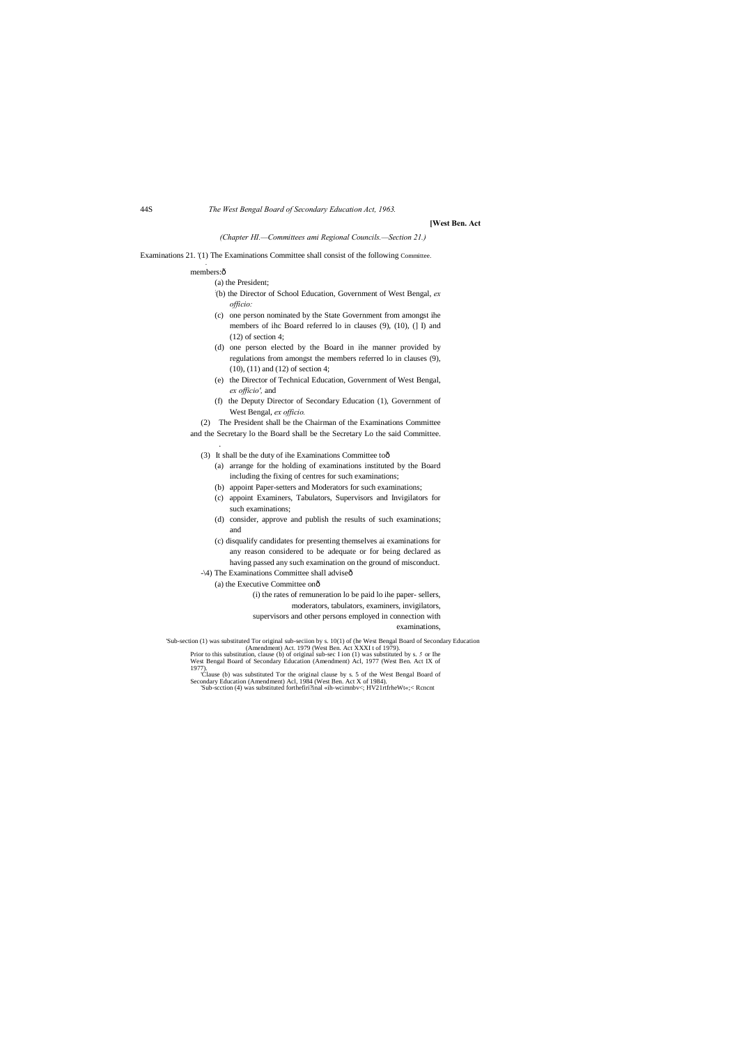44S *The West Bengal Board of Secondary Education Act, 1963.*

#### **[West Ben. Act**

### *(Chapter HI.—Committees ami Regional Councils.—Section 21.)*

Examinations 21. '(1) The Examinations Committee shall consist of the following Committee. .

#### members:ô

#### (a) the President;

- : (b) the Director of School Education, Government of West Bengal, *ex officio:*
- (c) one person nominated by the State Government from amongst ihe members of ihc Board referred lo in clauses (9), (10), (] I) and (12) of section 4;
- (d) one person elected by the Board in ihe manner provided by regulations from amongst the members referred lo in clauses (9), (10), (11) and (12) of section 4;
- (e) the Director of Technical Education, Government of West Bengal, *ex officio',* and
- (f) the Deputy Director of Secondary Education (1), Government of West Bengal, *ex officio.*

(2) The President shall be the Chairman of the Examinations Committee and the Secretary lo the Board shall be the Secretary Lo the said Committee.

- (3) It shall be the duty of ihe Examinations Committee toô
	- (a) arrange for the holding of examinations instituted by the Board including the fixing of centres for such examinations;
	- (b) appoint Paper-setters and Moderators for such examinations;
	- (c) appoint Examiners, Tabulators, Supervisors and Invigilators for such examinations;
	- (d) consider, approve and publish the results of such examinations; and
	- (c) disqualify candidates for presenting themselves ai examinations for any reason considered to be adequate or for being declared as having passed any such examination on the ground of misconduct.
- -\4) The Examinations Committee shall adviseô
	- (a) the Executive Committee onô
		- (i) the rates of remuneration lo be paid lo ihe paper- sellers,
			- moderators, tabulators, examiners, invigilators,
		- supervisors and other persons employed in connection with

.

examinations,

'Sub-section (1) was substituted Tor original sub-seciion by s. 10(1) of (he West Bengal Board of Secondary Education (Amendment) Act. 1979 (West Ben. Act XXXI t of 1979).

Prior to this substitution, clause (b) of original sub-sec I ion (1) was substituted by s. *5* or Ihe West Bengal Board of Secondary Education (Amendment) Acl, 1977 (West Ben. Act IX of 1977).

'Clause (b) was substituted Tor the original clause by s. 5 of the West Bengal Board of Secondary Education (Amendment) Acl, 1984 (West Ben. Act X of 1984). 'Sub-section (4) was substituted forthefiri?inal «ih-wcimnbv<; HV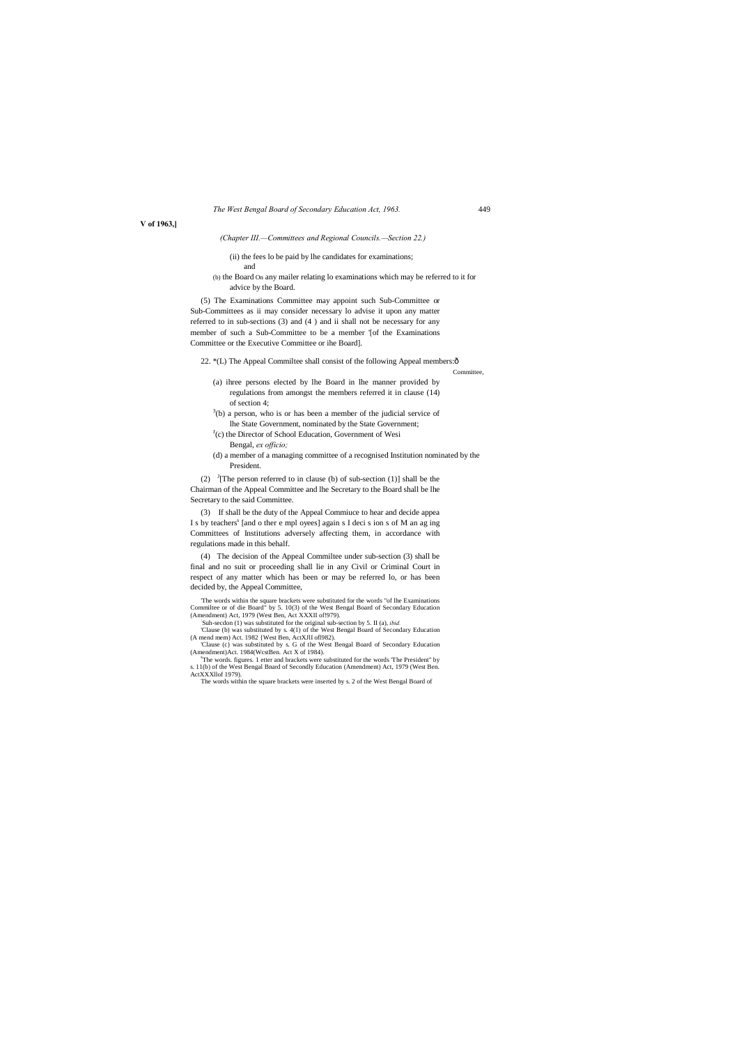|  |  | The West Bengal Board of Secondary Education Act, 1963. | 449 |
|--|--|---------------------------------------------------------|-----|
|  |  |                                                         |     |

**V of 1963,]**

#### *(Chapter III.—Committees and Regional Councils.—Section 22.)*

(ii) the fees lo be paid by lhe candidates for examinations;

and

(b) the Board On any mailer relating lo examinations which may be referred to it for advice by the Board.

(5) The Examinations Committee may appoint such Sub-Committee or Sub-Committees as ii may consider necessary lo advise it upon any matter referred to in sub-sections (3) and (4 ) and ii shall not be necessary for any member of such a Sub-Committee to be a member '[of the Examinations Committee or the Executive Committee or ihe Board].

22. \*(L) The Appeal Commiltee shall consist of the following Appeal members: $\hat{o}$ 

(2)  $\frac{J}{I}$  The person referred to in clause (b) of sub-section (1)] shall be the Chairman of the Appeal Committee and lhe Secretary to the Board shall be lhe Secretary to the said Committee.

Committee,

'The words within the square brackets were substituted for the words "of lhe Examinations Commiltee or of die Board" by 5. 10(3) of the West Bengal Board of Secondary Education (Amendment) Act, 1979 (West Ben, Act XXXII of!979).

- (a) ihree persons elected by lhe Board in lhe manner provided by regulations from amongst the members referred it in clause (14) of section 4;
- $3<sup>3</sup>(b)$  a person, who is or has been a member of the judicial service of lhe State Government, nominated by the State Government;
- <sup>J</sup>(c) the Director of School Education, Government of Wesi Bengal, *ex officio;*
- (d) a member of a managing committee of a recognised Institution nominated by the President.

'Clause (c) was substituted by s. G of the West Bengal Board of Secondary Education (Amendment)Act. 1984(WcstBen. Act X of 1984).

(3) If shall be the duty of the Appeal Commiuce to hear and decide appea I s by teachers<sup>8</sup> [and o ther e mpl oyees] again s I deci s ion s of M an ag ing Committees of Institutions adversely affecting them, in accordance with regulations made in this behalf.

(4) The decision of the Appeal Commiltee under sub-section (3) shall be final and no suit or proceeding shall lie in any Civil or Criminal Court in respect of any matter which has been or may be referred lo, or has been decided by, the Appeal Committee,

Suh-secdon (1) was substituted for the original sub-section by 5. II (a), *ibid.* 'Clause (b) was substituted by s. 4(1) of the West Bengal Board of Secondary Education (A mend mem) Act. 1982 {West Ben, ActXJlI ofl982).

The words. figures. 1 etter and brackets were substituted for the words 'The President" by s. 11(b) of the West Bengal Bnard of Secondly Education (Amendment) Act, 1979 (West Ben. ActXXXllof 1979).

The words within the square brackets were inserted by s. 2 of the West Bengal Board of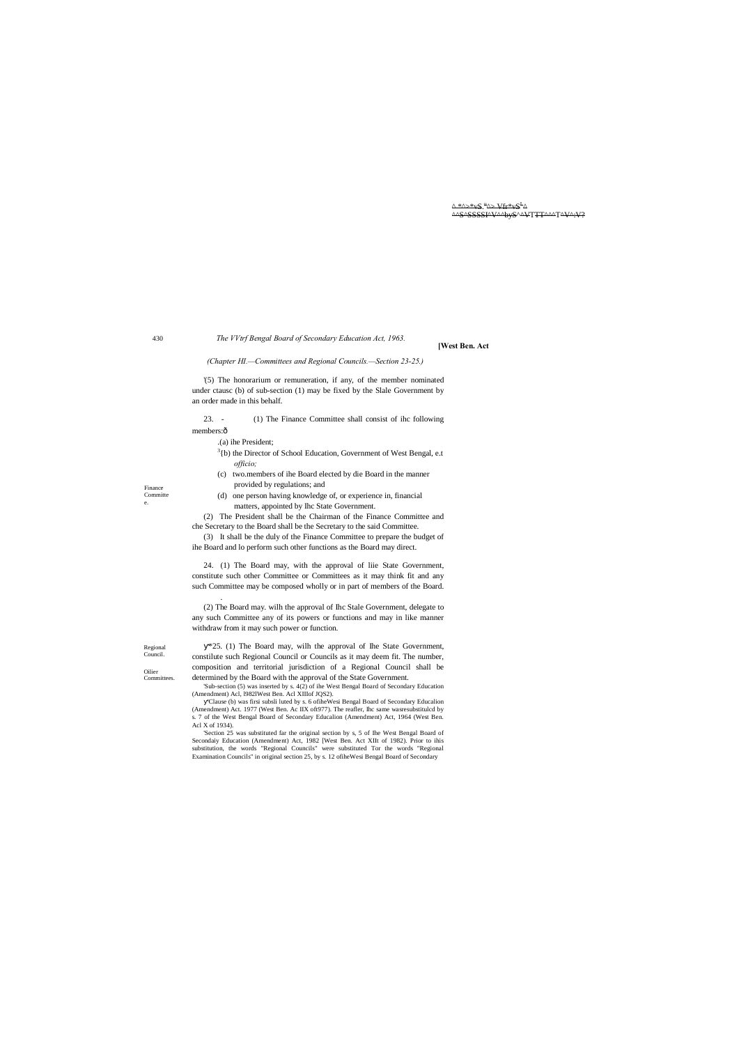^ \*^>\*vS."^> Vfr\*vS<sup>L</sup>^ ^^S^SSSSI^V^^byS^^VTTT^^^T^V^:V?

430

Regional Council.

Finance Committe e.

Oilier Committees. *The VVtrf Bengal Board of Secondary Education Act, 1963.*

**[West Ben. Act**

23. - (1) The Finance Committee shall consist of ihc following members:ô

*(Chapter HI.—Committees and Regional Councils.—Section 23-25.)*

'(5) The honorarium or remuneration, if any, of the member nominated under ctausc (b) of sub-section (1) may be fixed by the Slale Government by an order made in this behalf.

- $3<sup>3</sup>$ (b) the Director of School Education, Government of West Bengal, e.t *officio;*
- (c) two.members of ihe Board elected by die Board in the manner provided by regulations; and
- (d) one person having knowledge of, or experience in, financial matters, appointed by Ihc State Government.

.(a) ihe President;

(2) The President shall be the Chairman of the Finance Committee and che Secretary to the Board shall be the Secretary to the said Committee.

(3) It shall be the duly of the Finance Committee to prepare the budget of ihe Board and lo perform such other functions as the Board may direct.

24. (1) The Board may, with the approval of liie State Government, constitute such other Committee or Committees as it may think fit and any such Committee may be composed wholly or in part of members of the Board.

.

(2) The Board may. wilh the approval of Ihc Stale Government, delegate to any such Committee any of its powers or functions and may in like manner withdraw from it may such power or function.

\*25. (1) The Board may, wilh the approval of Ihe State Government, constilute such Regional Council or Councils as it may deem fit. The number, composition and territorial jurisdiction of a Regional Council shall be determined by the Board with the approval of the State Government.

'Sub-section (5) was inserted by s. 4(2) of ihe West Bengal Board of Secondary Education (Amendment) Acl, l982lWest Ben. Acl XIIIof JQS2).

'Clause (b) was firsi subsli luted by s. 6 ofiheWesi Bengal Board of Secondary Educalion (Amendment) Act. 1977 (West Ben. Ac IIX oft977). The reafler, Ihc same wasresubstitulcd by s. 7 of the West Bengal Board of Secondary Educalion (Amendment) Act, 1964 (West Ben. Acl X of 1934).

'Section 25 was substituted far the original section by s, 5 of Ihe West Bengal Board of Secondaiy Education (Amendment) Act, 1982 [West Ben. Act XIIt of 1982). Prior to ihis substitution, the words "Regional Councils" were substituted Tor the words "Regional Examination Councils" in original section 25, by s. 12 ofiheWesi Bengal Board of Secondary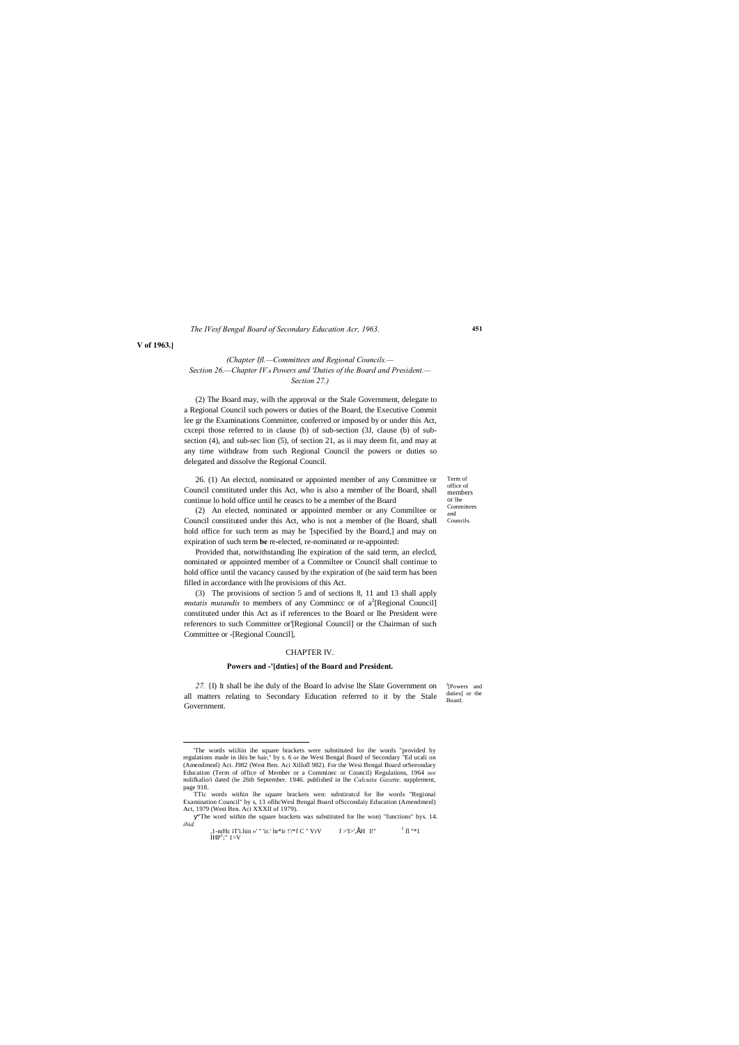Term of office of members or lhe Committees and Councils.

#### *The IVesf Bengal Board of Secondary Education Acr, 1963.*

**V of 1963.]**

#### *(Chapter Ifl.—Committees and Regional Councils.— Section 26.—Chapter IV.*—*Powers and 'Duties of the Board and President.— Section 27.)*

(2) The Board may, wilh the approval or the Stale Government, delegate to a Regional Council such powers or duties of the Board, the Executive Commit lee gr the Examinations Committee, conferred or imposed by or under this Act, cxcepi those referred to in clause (b) of sub-section (3J, clause (b) of subsection (4), and sub-sec lion (5), of section 21, as ii may deem fit, and may at any time withdraw from such Regional Council the powers or duties so delegated and dissolve the Regional Council.

26. (1) An electcd, nominated or appointed member of any Committee or Council constituted under this Act, who is also a member of lhe Board, shall continue lo hold office until he ceascs to be a member of the Board

J [Powers and duties] or the Board. *27.* {I) It shall be ihe duly of the Board lo advise lhe Slate Government on all matters relating to Secondary Education referred to it by the Stale Government.

(2) An elected, nominated or appointed member or any Commiltee or Council constituted under this Act, who is not a member of (he Board, shall hold office for such term as may be '[specified by the Board,] and may on expiration of such term **be** re-elected, re-nominated or re-appointed:

TTic words within lhe square brackets wen: substirutcd for lhe words "Regional Examination Council" by s, 13 ofihcWesl Bengal Board ofSccondaiy Education (Amendmenl) Act, 1979 (West Ben. Aci XXXII of 1979).

Provided that, notwithstanding lhe expiration of the said term, an eleclcd, nominated or appointed member of a Commiltee or Council shall continue to hold office until the vacancy caused by the expiration of (he said term has been filled in accordance with lhe provisions of this Act.

(3) The provisions of section 5 and of sections 8, 11 and 13 shall apply *mutatis mutandis* to members of any Commincc or of  $a^2$ [Regional Council] constituted under this Act as if references to the Board or lhe President were references to such Committee or'[Regional Council] or the Chairman of such Committee or -[Regional Council],

#### CHAPTER IV.

#### **Powers and -'[duties] of the Board and President.**

"The word within the square brackets was substituted for lhe won) "functions" bys. 14. *ibid.*

,1-nrHc iT'i.hin »' " 'ir.' hr\*ir !'/\*f C " VrV f >'I>',ÉH I!" <sup>1</sup> fl "\*1  $IHP^1$ ;"  $1 > V$ 

 <sup>&#</sup>x27;The words wiiJiin ihe square brackets were substituted for ihe words "provided by regulations made in ihis be hair," by s. 6 or ihe West Bengal Board of Secondary "Ed ucali on (Amendmenl) Act. J982 (West Ben. Aci Xtllofl 982). For the Wesi Bengal Board orSeeondary Education (Term of office of Member or a Comminec or Council) Regulaiions, 1964 *see*  nolifkalio/i dated (he 26th September. 1946. published in lhe *Calcutta Gazette,* supplement, page 918.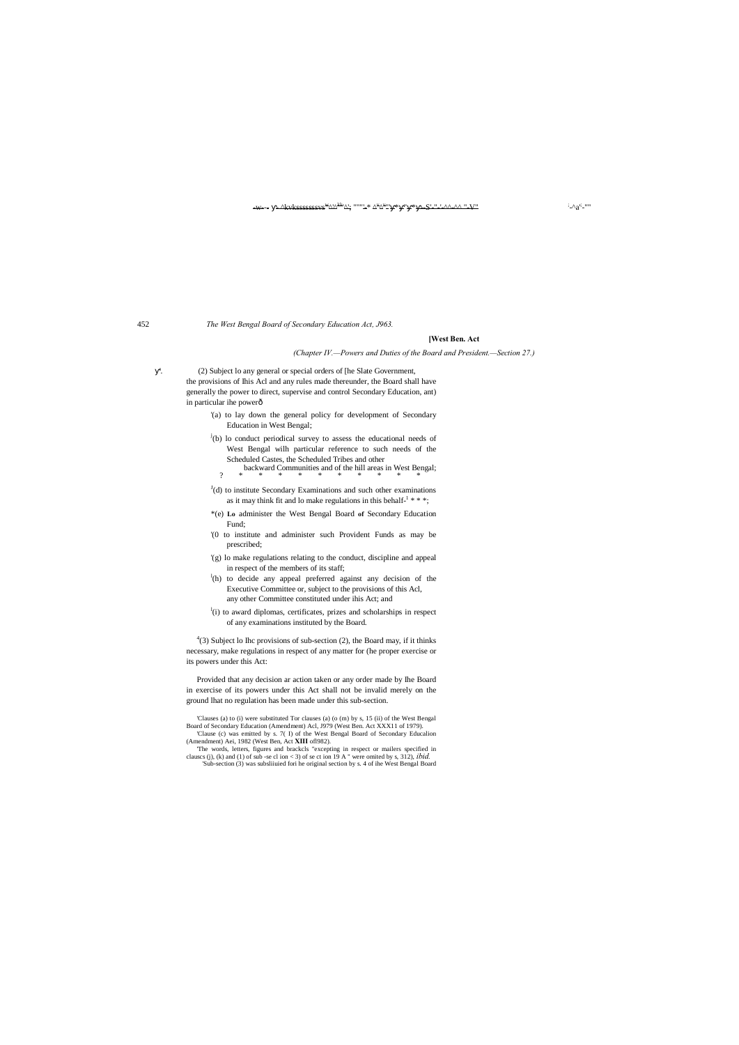#### $\begin{array}{lll} -\mathbf{w} & -\lambda \end{array}$   $\begin{array}{lll} -\mathbf{w} & \mathrm{where}(A_1,\dots,A_N) \end{array}$  "  $\begin{array}{lll} \mathbf{w} & \mathrm{where}(A_1,\dots,A_N) \end{array}$

'. (2) Subject lo any general or special orders of [he Slate Government, the provisions of Ihis Acl and any rules made thereunder, the Board shall have generally the power to direct, supervise and control Secondary Education, ant) in particular ihe powerô

#### 452 *The West Bengal Board of Secondary Education Act, J963.*

#### **[West Ben. Act**

#### *(Chapter IV.—Powers and Duties of the Board and President.—Section 27.)*

 $^{4}(3)$  Subject lo Ihc provisions of sub-section (2), the Board may, if it thinks necessary, make regulations in respect of any matter for (he proper exercise or its powers under this Act:

- '(a) to lay down the general policy for development of Secondary Education in West Bengal;
- $j(b)$  lo conduct periodical survey to assess the educational needs of West Bengal wilh particular reference to such needs of the Scheduled Castes, the Scheduled Tribes and other
- backward Communities and of the hill areas in West Bengal; ? \* \* \* \* \* \* \* \* \* \*
- $J(d)$  to institute Secondary Examinations and such other examinations as it may think fit and lo make regulations in this behalf- $1$ \*\*\*;
- \*(e) **Lo** administer the West Bengal Board **of** Secondary Education Fund;
- '(0 to institute and administer such Provident Funds as may be prescribed;
- '(g) lo make regulations relating to the conduct, discipline and appeal in respect of the members of its staff;
- <sup>1</sup>(h) to decide any appeal preferred against any decision of the Executive Committee or, subject to the provisions of this Acl, any other Committee constituted under ihis Act; and
- <sup>1</sup>(i) to award diplomas, certificates, prizes and scholarships in respect of any examinations instituted by the Board.

Provided that any decision ar action taken or any order made by Ihe Board in exercise of its powers under this Act shall not be invalid merely on the ground lhat no regulation has been made under this sub-section.

 $-a^{i}$ ;  $"$ 

<sup>&#</sup>x27;Clauses (a) to (i) were substituted Tor clauses (a) (o (m) by s, 15 (ii) of the West Bengal Board of Secondary Education (Amendment) Acl, J979 (West Ben. Act XXX11 of 1979). 'Clause (c) was emitted by s. 7( I) of the West Bengal Board of Secondary Educalion

<sup>(</sup>Amendment) Aei, 1982 (West Ben, Act **XIII** ofl982). 'The words, letters, figures and brackcls "excepting in respect or mailers specified in

clauscs (j), (k) and (1) of sub -se cl ion < 3) of se ct ion 19 A " were omited by s, 312), *ibid.* 'Sub-section (3) was subsliiuied fori he original section by s. 4 of ihe West Bengal Board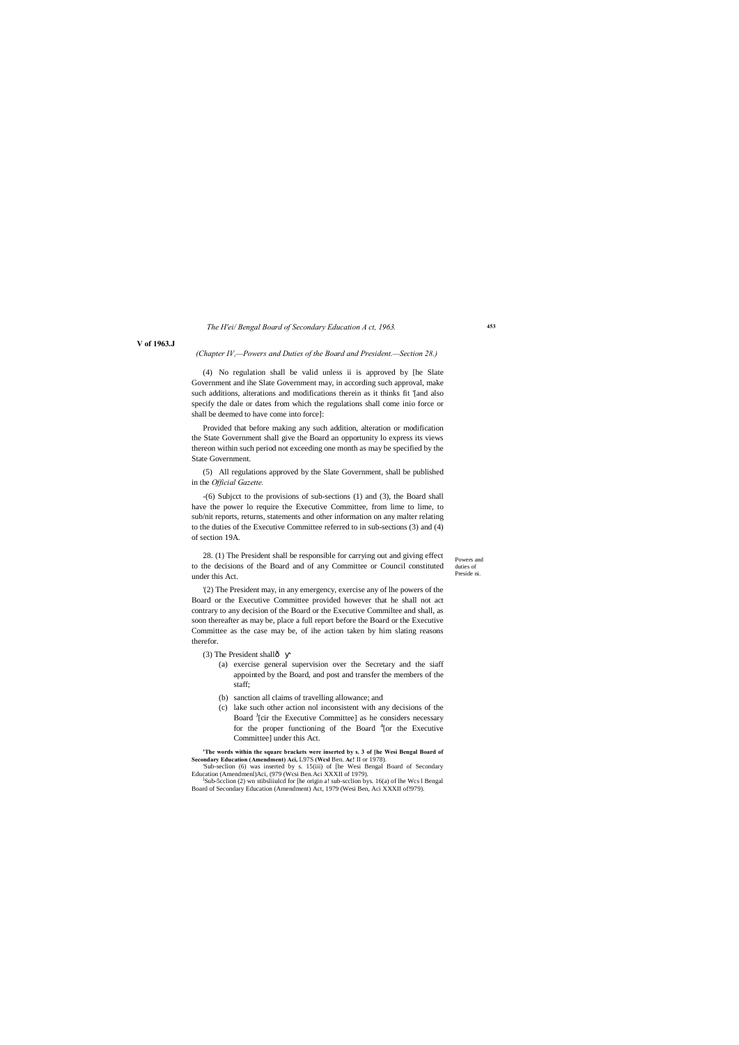Powers and duties of Preside ni.

#### *The H'ei/ Bengal Board of Secondary Education A ct, 1963.*

#### **V of 1963.J**

#### *(Chapter IV,—Powers and Duties of the Board and President.—Section 28.)*

(4) No regulation shall be valid unless ii is approved by [he Slate Government and ihe Slate Government may, in according such approval, make such additions, alterations and modifications therein as it thinks fit '[and also specify the dale or dates from which the regulations shall come inio force or shall be deemed to have come into force]:

Provided that before making any such addition, alteration or modification the State Government shall give the Board an opportunity lo express its views thereon within such period not exceeding one month as may be specified by the State Government.

(5) All regulations approved by the Slate Government, shall be published in the *Official Gazette.*

-(6) Subjcct to the provisions of sub-sections (1) and (3), the Board shall have the power lo require the Executive Committee, from lime to lime, to sub/nit reports, returns, statements and other information on any malter relating to the duties of the Executive Committee referred to in sub-sections (3) and (4) of section 19A.

- (3) The President shallô
	- (a) exercise general supervision over the Secretary and the siaff appointed by the Board, and post and transfer the members of the staff;
	- (b) sanction all claims of travelling allowance; and
	- (c) lake such other action nol inconsistent with any decisions of the Board <sup>J</sup>[cir the Executive Committee] as he considers necessary for the proper functioning of the Board <sup>4</sup>[or the Executive Committee] under this Act.

- 'Sub-seclion (6) was inserted by s. 15(iii) of [he Wesi Bengal Board of Secondary Education (Amendmenl)Aci, (979 (Wcsi Ben.Aci XXXII of 1979).
- Sub-5cclion (2) wn stibsliiulcd for [he origin a! sub-scclion bys.  $16(a)$  of lhe Wcs l Bengal v Education (Amendment) Act, 1979 (Wesi Be

28. (1) The President shall be responsible for carrying out and giving effect to the decisions of the Board and of any Committee or Council constituted under this Act.

'(2) The President may, in any emergency, exercise any of lhe powers of the Board or the Executive Committee provided however that he shall not act contrary to any decision of the Board or the Executive Commiltee and shall, as soon thereafter as may be, place a full report before the Board or the Executive Committee as the case may be, of ihe action taken by him slating reasons therefor.

**'The words within the square brackets were inserted by s. 3 of [he Wesi Bengal Board of Secondary Education (Amendment) Aci,** L97S **(Wcsl** Ben. **Ac!** II or 1978).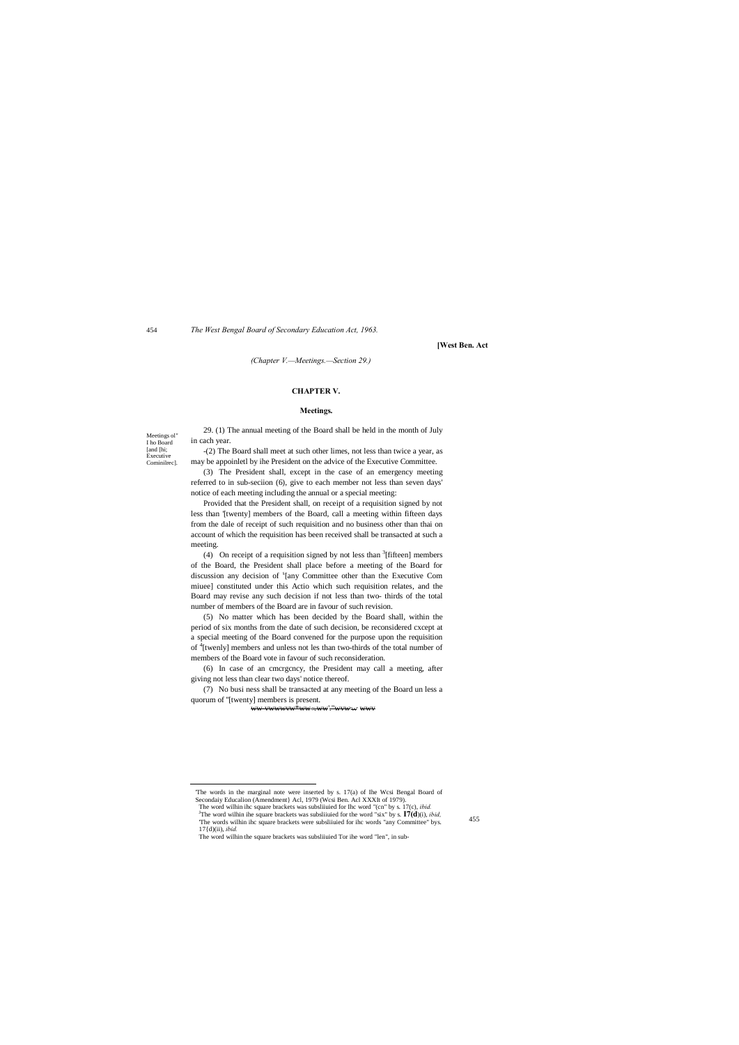Meetings ol" I ho Board [and [hi; Executive Cominilrec].

455

*The West Bengal Board of Secondary Education Act, 1963.*

**[West Ben. Act**

*(Chapter V.—Meetings.—Section 29.)*

#### **CHAPTER V.**

#### **Meetings.**

29. (1) The annual meeting of the Board shall be held in the month of July in cach year.

-(2) The Board shall meet at such other limes, not less than twice a year, as may be appoinletl by ihe President on the advice of the Executive Committee.

(3) The President shall, except in the case of an emergency meeting referred to in sub-seciion (6), give to each member not less than seven days' notice of each meeting including the annual or a special meeting:

(4) On receipt of a requisition signed by not less than  ${}^{3}$ [fifteen] members of the Board, the President shall place before a meeting of the Board for discussion any decision of <sup>s</sup>[any Committee other than the Executive Com miuee] constituted under this Actio which such requisition relates, and the Board may revise any such decision if not less than two- thirds of the total number of members of the Board are in favour of such revision.

Provided that the President shall, on receipt of a requisition signed by not less than '[twenty] members of the Board, call a meeting within fifteen days from the dale of receipt of such requisition and no business other than thai on account of which the requisition has been received shall be transacted at such a meeting.

(5) No matter which has been decided by the Board shall, within the period of six months from the date of such decision, be reconsidered cxcept at a special meeting of the Board convened for the purpose upon the requisition of <sup>4</sup>[twenly] members and unless not les than two-thirds of the total number of members of the Board vote in favour of such reconsideration.

(6) In case of an cmcrgcncy, the President may call a meeting, after giving not less than clear two days' notice thereof.

(7) No busi ness shall be transacted at any meeting of the Board un less a quorum of ''[twenty] members is present.

ww-vwwwvw\*ww«.ww'."wvw'W' wwv

 'The words in the marginal note were inserted by s. 17(a) of Ihe Wcsi Bengal Board of Secondaiy Educalion (Amendment) Acl, 1979 (Wcsi Ben. Acl XXXIt of 1979). The word wilhin ihc square brackets was subsliiuied for Ihc word "(cn" by s. 17(c), *ibid.* The word wilhin ihe square brackets was subsliiuied for the word "six" by s. **I7(d**)(i), *ibid,* 'The words wilhin ihc square brackets were subsliiuied for ihc words "any Committee" bys. 17{d)(ii), *ibid.*

The word wilhin the square brackets was subsliiuied Tor ihe word "len", in sub-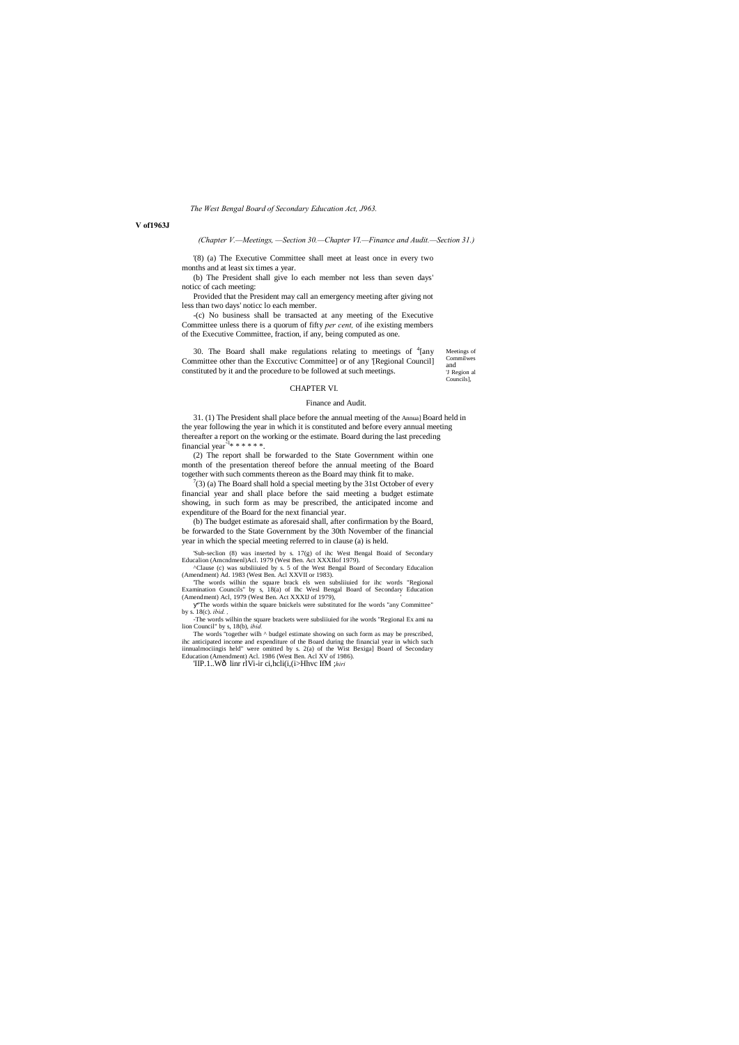*The West Bengal Board of Secondary Education Act, J963.*

#### **V of1963J**

*(Chapter V.—Meetings, —Section 30.—Chapter VI.—Finance and Audit.—Section 31.)*

'(8) (a) The Executive Committee shall meet at least once in every two months and at least six times a year.

(b) The President shall give lo each member not less than seven days' noticc of cach meeting:

Provided that the President may call an emergency meeting after giving not less than two days' noticc lo each member.

Meetings of **Commilwes** and 'J Region al Councils], 30. The Board shall make regulations relating to meetings of  $4$ [any Committee other than the Exccutivc Committee] or of any '[Regional Council] constituted by it and the procedure to be followed at such meetings.

31. (1) The President shall place before the annual meeting of the Annua] Board held in the year following the year in which it is constituted and before every annual meeting thereafter a report on the working or the estimate. Board during the last preceding financial year $\lambda$ \* \* \* \* \* \*.

-(c) No business shall be transacted at any meeting of the Executive Committee unless there is a quorum of fifty *per cent,* of ihe existing members of the Executive Committee, fraction, if any, being computed as one.

 $(3)$  (a) The Board shall hold a special meeting by the 31st October of every financial year and shall place before the said meeting a budget estimate showing, in such form as may be prescribed, the anticipated income and expenditure of the Board for the next financial year.

#### CHAPTER VI.

#### Finance and Audit.

'The words wilhin the square brack els wen subsliiuied for ihc words "Regional Examination Councils" by s, 18(a) of Ihc Wesl Bengal Board of Secondary Education (Amendment) Acl, 1979 (West Ben. Act XXXIJ of 1979),

(2) The report shall be forwarded to the State Government within one month of the presentation thereof before the annual meeting of the Board together with such comments thereon as the Board may think fit to make.

The words "together wilh  $\wedge$  budgel estimate showing on such form as may be prescribed, ihc anticipated income and expenditure of the Board during the financial year in which such iinnualmociingis held" were omitted by s. 2(a) of the Wist Bexiga] Board of Secondary Education (Amendment) Acl. 1986 (West Ben. Acl XV of 1986).

'IIP.1..Wô linr rlVi-ir ci,hcli(i,(i>Hhvc IfM ;*hiri* 

(b) The budget estimate as aforesaid shall, after confirmation by the Board, be forwarded to the State Government by the 30th November of the financial year in which the special meeting referred to in clause (a) is held.

'Sub-seclion (8) was inserted by s. 17(g) of ihc West Bengal Boaid of Secondary Educalion (Amcndmenl)Acl. 1979 (West Ben. Act XXXIIof 1979).

^Clause (c) was subsliiuied by s. 5 of the West Bengal Board of Secondary Educalion (Amendment) Ad. 1983 (West Ben. Acl XXVII or 1983).

"The words within the square bnickels were substituted for Ihe words "any Committee" by s. 18(c). *ibid. ,*

-The words wilhin the square brackets were subsliiuied for ihe words "Regional Ex ami na lion Council" by s, 18(b), *ibid.*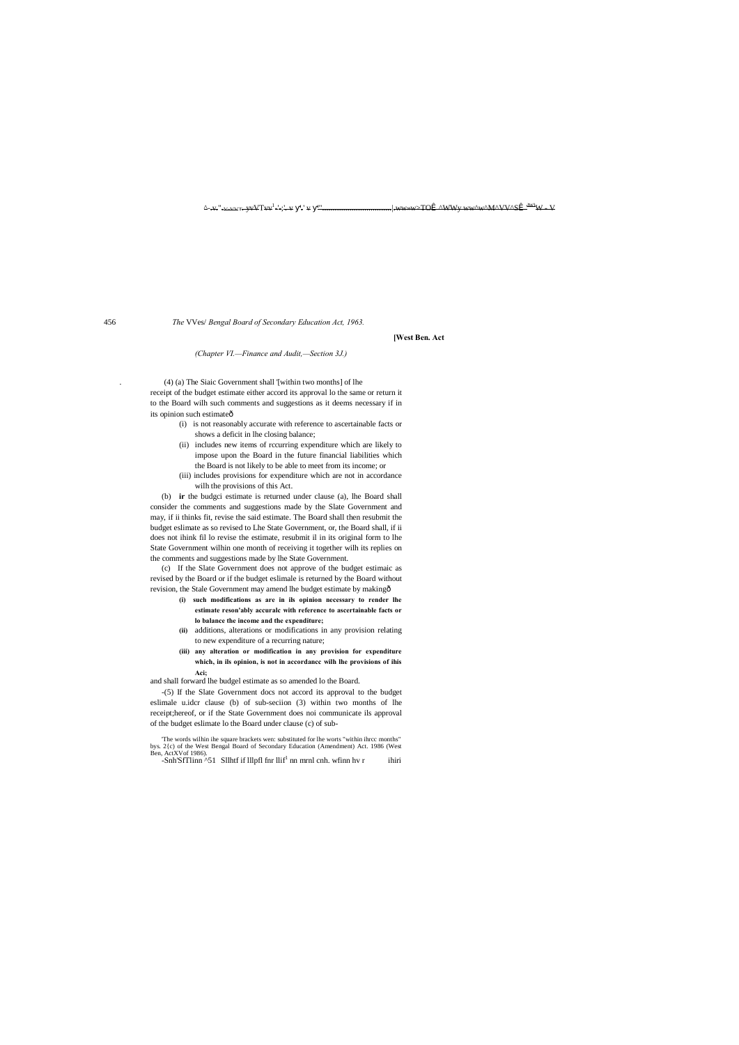. (4) (a) The Siaic Government shall '[within two months] of lhe receipt of the budget estimate either accord its approval lo the same or return it to the Board wilh such comments and suggestions as it deems necessary if in its opinion such estimateô

 $\Delta$ -v.". v vvn yvVTvv<sup>1</sup>-'-;' v '' v '''. -'-;'-᠊v '-' v <del>"'..............................</del>|.ww»w>TOÎ ^WWy ww^w^M^VV^SÎ "<sup>W!</sup>W - V

456 *The* VVes/ *Bengal Board of Secondary Education Act, 1963.*

**[West Ben. Act**

*(Chapter VI.—Finance and Audit,—Section 3J.)*

- (i) is not reasonably accurate with reference to ascertainable facts or shows a deficit in lhe closing balance;
- (ii) includes new items of rccurring expenditure which are likely to impose upon the Board in the future financial liabilities which the Board is not likely to be able to meet from its income; or
- (iii) includes provisions for expenditure which are not in accordance wilh the provisions of this Act.

(b) **ir** the budgci estimate is returned under clause (a), lhe Board shall consider the comments and suggestions made by the Slate Government and may, if ii thinks fit, revise the said estimate. The Board shall then resubmit the budget eslimate as so revised to Lhe State Government, or, the Board shall, if ii does not ihink fil lo revise the estimate, resubmit il in its original form to lhe State Government wilhin one month of receiving it together wilh its replies on the comments and suggestions made by lhe State Government.

(c) If the Slate Government does not approve of the budget estimaic as revised by the Board or if the budget eslimale is returned by the Board without revision, the Stale Government may amend lhe budget estimate by making—

- **(i) such modifications as are in ils opinion necessary to render lhe estimate reson'ably accuralc with reference to ascertainable facts or lo balance the income and the expenditure;**
- **(ii)** additions, alterations or modifications in any provision relating to new expenditure of a recurring nature;
- **(iii) any alteration or modification in any provision for expenditure which, in ils opinion, is not in accordancc wilh lhe provisions of ihis Aci;**

and shall forward lhe budgel estimate as so amended lo the Board.

-(5) If the Slate Government docs not accord its approval to the budget eslimale u.idcr clause (b) of sub-seciion (3) within two months of lhe receipt;hereof, or if the State Government does noi communicate ils approval of the budget eslimate lo the Board under clause (c) of sub-

'The words wilhin ihe square brackets wen: substituted for lhe worts "within ihrcc months" bys. 2{c) of the West Bengal Board of Secondary Education (Amendment) Act. 1986 (West Ben, ActXVof 1986).

 $-$ Snh'SfTlinn  $\sim$ 51 Sllhtf if lllpfl fnr llif<sup>1</sup> nn mrnl cnh. wfinn hv r ihiri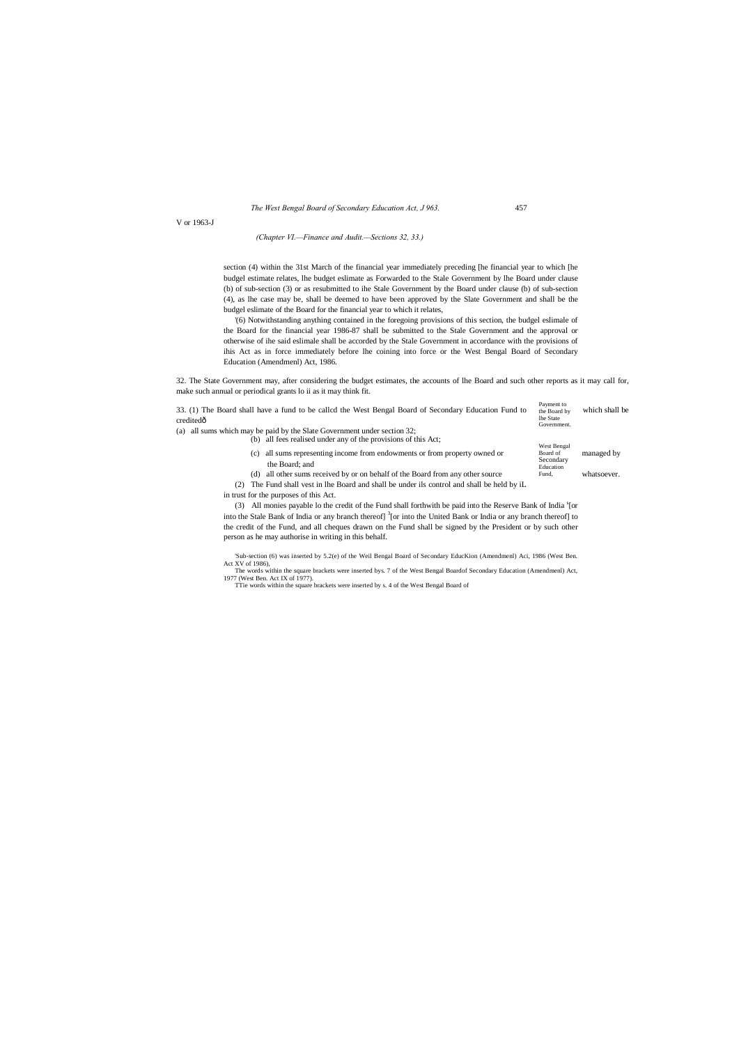*The West Bengal Board of Secondary Education Act, J 963.* 457

V or 1963-J

*(Chapter VI.—Finance and Audit.—Sections 32, 33.)*

section (4) within the 31st March of the financial year immediately preceding [he financial year to which [he budgel estimate relates, lhe budget eslimate as Forwarded to the Stale Government by lhe Board under clause (b) of sub-section (3) or as resubmitted to ihe Stale Government by the Board under clause (b) of sub-section (4), as lhe case may be, shall be deemed to have been approved by the Slate Government and shall be the budgel eslimate of the Board for the financial year to which it relates,

'(6) Notwithstanding anything contained in the foregoing provisions of this section, the budgel eslimale of the Board for the financial year 1986-87 shall be submitted to the Stale Government and the approval or otherwise of ihe said eslimale shall be accorded by the Stale Government in accordance with the provisions of ihis Act as in force immediately before lhe coining into force or the West Bengal Board of Secondary Education (Amendmenl) Act, 1986.

| 33. (1) The Board shall have a fund to be called the West Bengal Board of Secondary Education Fund to<br>creditedô | Payment to<br>the Board by<br>lhe State<br>Government. | which shall be |
|--------------------------------------------------------------------------------------------------------------------|--------------------------------------------------------|----------------|
| (a) all sums which may be paid by the Slate Government under section 32;                                           |                                                        |                |
| (b) all fees realised under any of the provisions of this Act;                                                     |                                                        |                |
| all sums representing income from endowments or from property owned or<br>(c)<br>the Board; and                    | West Bengal<br>Board of<br>Secondary<br>Education      | managed by     |
| (d) all other sums received by or on behalf of the Board from any other source                                     | Fund,                                                  | whatsoever.    |
| The Fund shall vest in lhe Board and shall be under ils control and shall be held by iL<br>(2)                     |                                                        |                |
| in trust for the purposes of this Act.                                                                             |                                                        |                |

(3) All monies payable lo the credit of the Fund shall forthwith be paid into the Reserve Bank of India <sup>s</sup>[or into the Stale Bank of India or any branch thereof] <sup>3</sup>[or into the United Bank or India or any branch thereof] to the credit of the Fund, and all cheques drawn on the Fund shall be signed by the President or by such other person as he may authorise in writing in this behalf.

32. The State Government may, after considering the budget estimates, the accounts of lhe Board and such other reports as it may call for, make such annual or periodical grants lo ii as it may think fit.

> 'Sub-section (6) was inserted by 5.2(e) of the Weil Bengal Board of Secondary EducKion (Amendmenl) Aci, 1986 (West Ben. Act XV of 1986),

> The words within the square brackets were inserted bys. 7 of the West Bengal Boardof Secondary Education (Amendmenl) Act, 1977 (West Ben. Act IX of 1977).

TTie words within the square brackets were inserted by s. 4 of the West Bengal Board of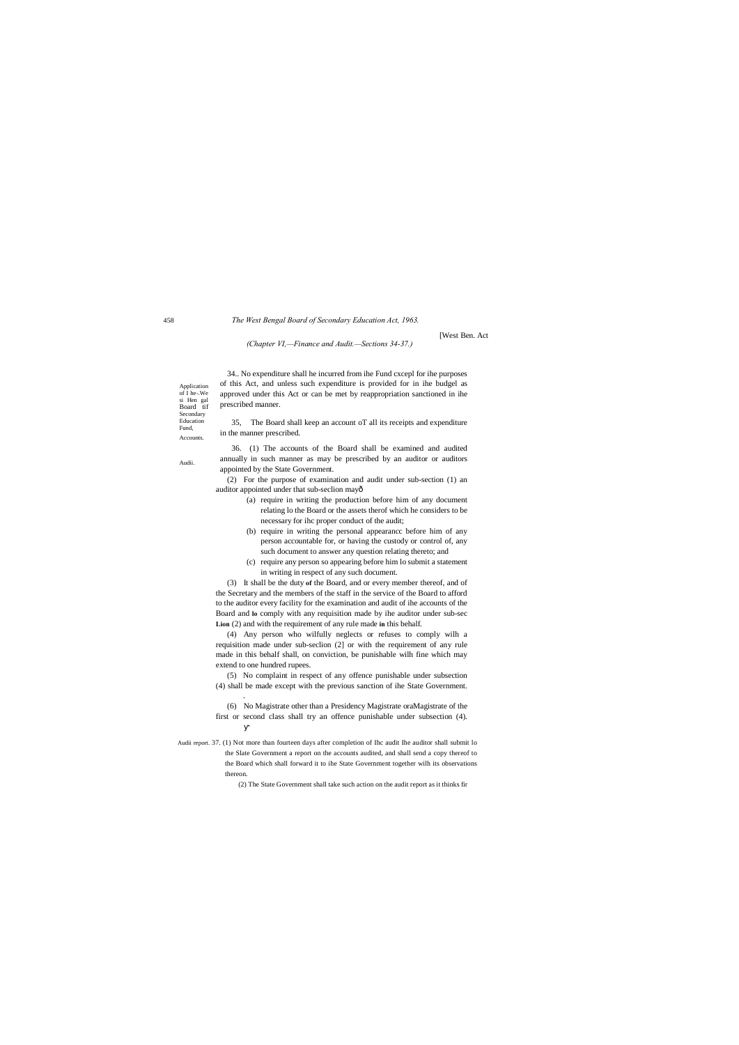Application of I he-.We si Hen gal Board tif Secondary Education Fund, Accounts.

Audii.

Audii report. 37. (1) Not more than fourteen days after completion of Ihc audit Ihe auditor shall submit lo the Slate Government a report on the accounts audited, and shall send a copy thereof to the Board which shall forward it to ihe State Government together wilh its observations thereon.

(2) The State Government shall take such action on the audit report as it thinks fir

#### *The West Bengal Board of Secondary Education Act, 1963.*

[West Ben. Act

(2) For the purpose of examination and audit under sub-section (1) an auditor appointed under that sub-seclion mayô

*(Chapter VI,—Finance and Audit.—Sections 34-37.)*

34.. No expenditure shall he incurred from ihe Fund cxcepl for ihe purposes of this Act, and unless such expenditure is provided for in ihe budgel as approved under this Act or can be met by reappropriation sanctioned in ihe prescribed manner.

35, The Board shall keep an account oT all its receipts and expenditure in the manner prescribed.

36. (1) The accounts of the Board shall be examined and audited annually in such manner as may be prescribed by an auditor or auditors appointed by the State Government.

- (a) require in writing the production before him of any document relating lo the Board or the assets therof which he considers to be necessary for ihc proper conduct of the audit;
- (b) require in writing the personal appearancc before him of any person accountable for, or having the custody or control of, any such document to answer any question relating thereto; and
- (c) require any person so appearing before him lo submit a statement in writing in respect of any such document.

(3) It shall be the duty **of** the Board, and or every member thereof, and of the Secretary and the members of the staff in the service of the Board to afford to the auditor every facility for the examination and audit of ihe accounts of the Board and **lo** comply with any requisition made by ihe auditor under sub-sec **Lion** (2) and with the requirement of any rule made **in** this behalf.

(4) Any person who wilfully neglects or refuses to comply wilh a requisition made under sub-seclion (2] or with the requirement of any rule made in this behalf shall, on conviction, be punishable wilh fine which may extend to one hundred rupees.

(5) No complaint in respect of any offence punishable under subsection (4) shall be made except with the previous sanction of ihe State Government.

.

(6) No Magistrate other than a Presidency Magistrate oraMagistrate of the first or second class shall try an offence punishable under subsection (4).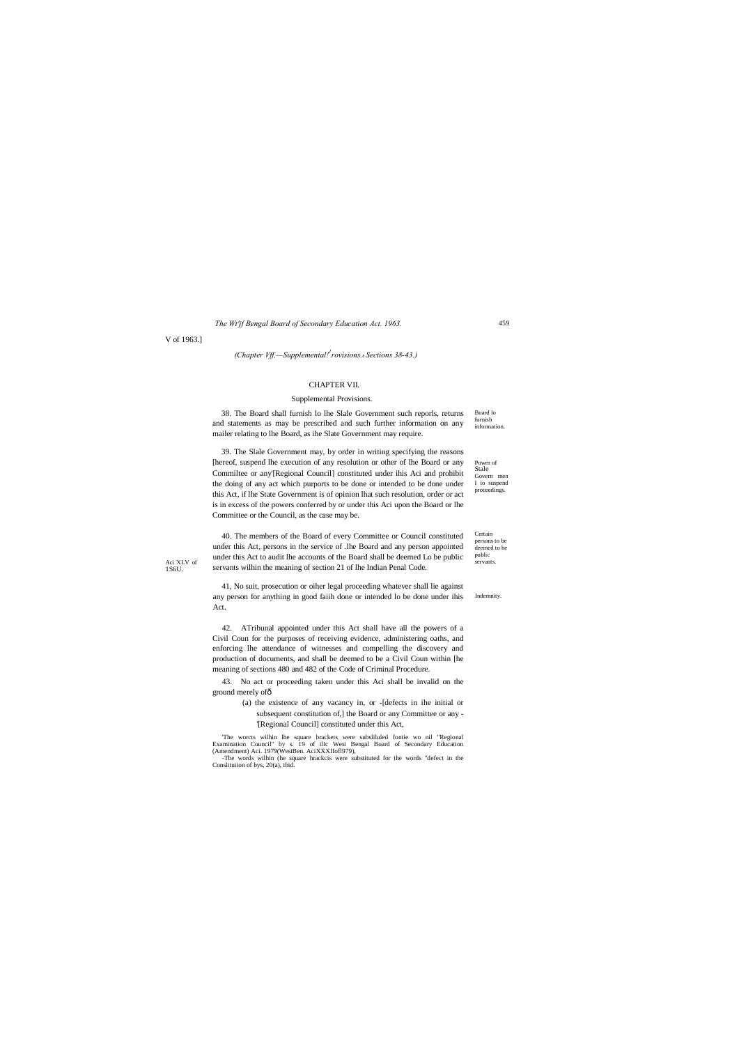Certain persons to be deemed to be public

Aci XLV of<br>
1S6U. Servants wilhin the meaning of section 21 of lhe Indian Penal Code. Aci XLV of<br>1S6U.

*The Wt'jf Bengal Board of Secondary Education Act. 1963.*

V of 1963.]

*(Chapter Vff.—Supplemental!1 rovisions.*—*Sections 38-43.)*

Board lo furnish information. 38. The Board shall furnish lo lhe Slale Government such reporls, returns and statements as may be prescribed and such further information on any mailer relating to lhe Board, as ihe Slate Government may require.

#### CHAPTER VII.

#### Supplemental Provisions.

Power of Stale Govern men I io suspend proceedings. 39. The Slale Government may, by order in writing specifying the reasons [hereof, suspend lhe execution of any resolution or other of lhe Board or any Commiltee or any'[Regional Council] constituted under ihis Aci and prohibit the doing of any act which purports to be done or intended to be done under this Act, if lhe State Government is of opinion lhat such resolution, order or act is in excess of the powers conferred by or under this Aci upon the Board or lhe Committee or the Council, as the case may be.

Indemnity. 41, No suit, prosecution or oiher legal proceeding whatever shall lie against any person for anything in good faiih done or intended lo be done under ihis Act.

40. The members of the Board of every Committee or Council constituted under this Act, persons in the service of .lhe Board and any person appointed under this Act to audit lhe accounts of the Board shall be deemed Lo be public

42. ATribunal appointed under this Act shall have all the powers of a Civil Coun for the purposes of receiving evidence, administering oaths, and enforcing lhe attendance of witnesses and compelling the discovery and production of documents, and shall be deemed to be a Civil Coun within [he meaning of sections 480 and 482 of the Code of Criminal Procedure.

43. No act or proceeding taken under this Aci shall be invalid on the ground merely of—

(a) the existence of any vacancy in, or -[defects in ihe initial or subsequent constitution of,] the Board or any Committee or any - '[Regional Council] constituted under this Act,

'The worcts wilhin lhe square brackets were subsliluled fontie wo nil "Regional Examination Council" by s. 19 of ilic Wesi Bengal Board of Secondary Education (Amendment) Aci. 1979(WesiBen. AciXXXIIofl979), -The words wilhin (he square hrackcis were substituted for the words "defect in the Conslituiion of bys, 20(a), ibid.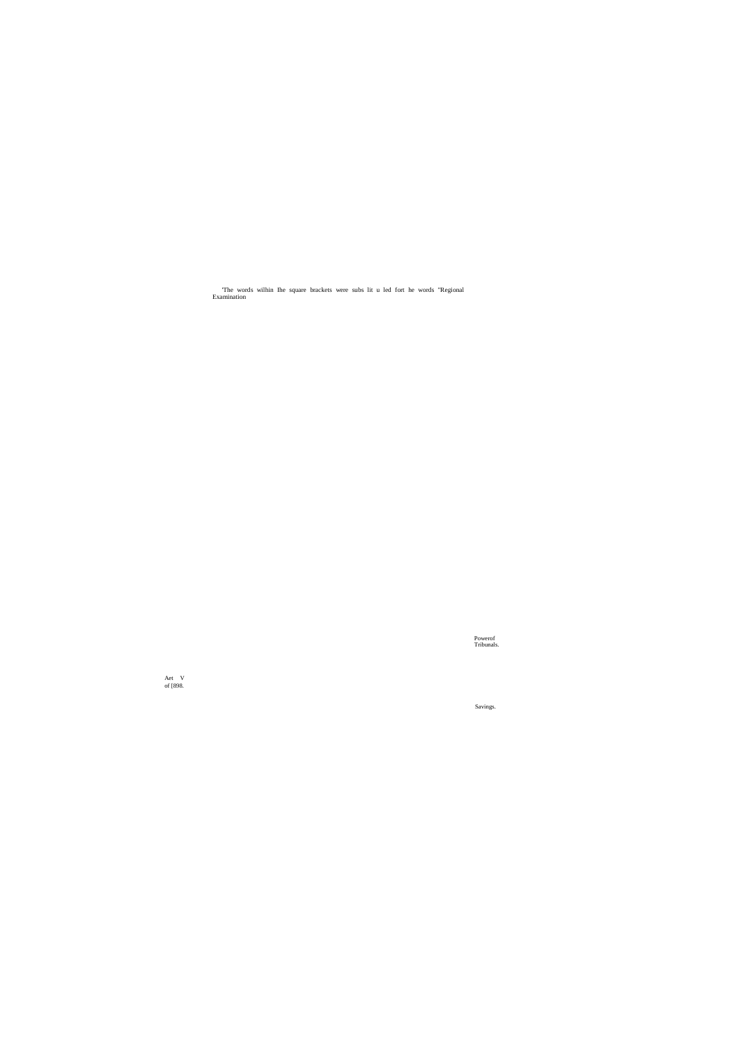Powerof Tribunals.

Savings.

'The words wilhin Ihe square brackets were subs lit u led fort he words "Regional Examination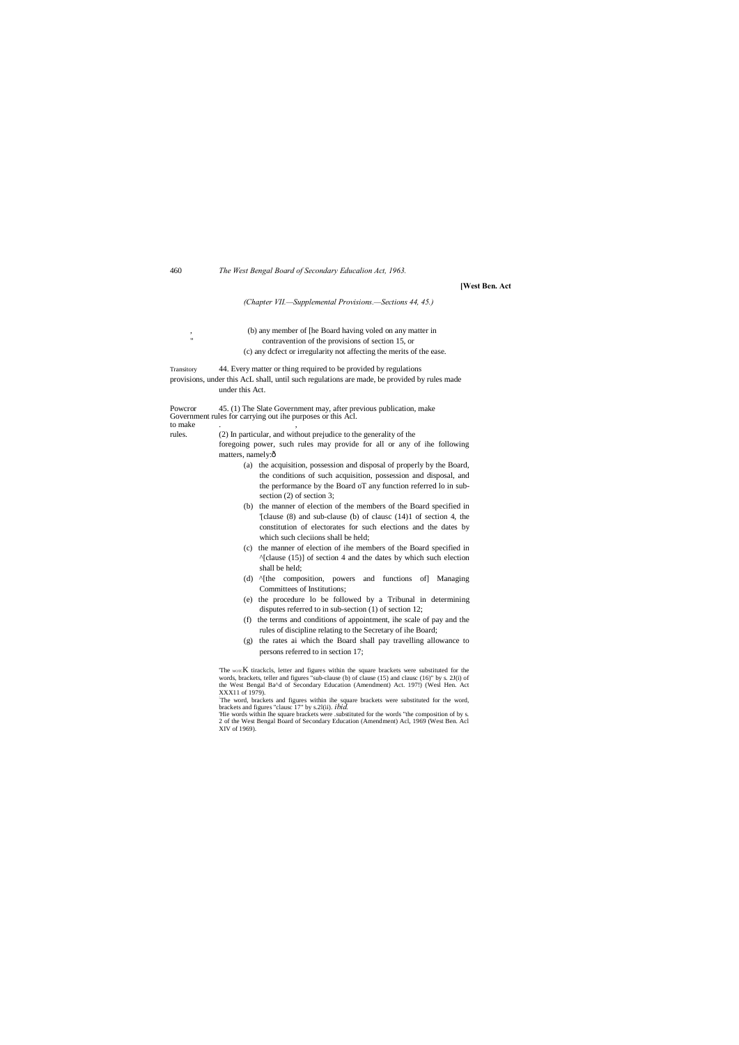#### 460 *The West Bengal Board of Secondary Educalion Act, 1963.*

#### **[West Ben. Act**

*(Chapter VII.—Supplemental Provisions.—Sections 44, 45.)*

, (b) any member of [he Board having voled on any matter in contravention of the provisions of section 15, or (c) any dcfect or irregularity not affecting the merits of the ease.

Powcror 45. (1) The Slate Government may, after previous publication, make Government rules for carrying out ihe purposes or this Acl. to make

foregoing power, such rules may provide for all or any of ihe following matters, namely:ô

#### Transitory 44. Every matter or thing required to be provided by regulations provisions, under this AcL shall, until such regulations are made, be provided by rules made under this Act.

rules. (2) In particular, and without prejudice to the generality of the

'The worc $K$  tirackcls, letter and figures within the square brackets were substituted for the words, brackets, teller and figures "sub-clause (b) of clause (15) and clausc (16)" by s. 2J(i) of the West Bengal Ba^d of Secondary Education (Amendment) Act. 197!) (Wesl Hen. Act XXX11 of 1979).

- (a) the acquisition, possession and disposal of properly by the Board, the conditions of such acquisition, possession and disposal, and the performance by the Board oT any function referred lo in subsection (2) of section 3;
- (b) the manner of election of the members of the Board specified in '[clause (8) and sub-clause (b) of clausc (14)1 of section 4, the constitution of electorates for such elections and the dates by which such cleciions shall be held;
- (c) the manner of election of ihe members of the Board specified in  $^{\prime\prime}$ [clause (15)] of section 4 and the dates by which such election shall be held;
- (d) ^[the composition, powers and functions of] Managing Committees of Institutions;
- (e) the procedure lo be followed by a Tribunal in determining disputes referred to in sub-section (1) of section 12;
- (f) the terms and conditions of appointment, ihe scale of pay and the rules of discipline relating to the Secretary of ihe Board;
- (g) the rates ai which the Board shall pay travelling allowance to persons referred to in section 17;

: The word, brackets and figures within ihe square brackets were substituted for the word, brackets and figures "clausc 17" by s.2l(ii). *ibid.*

'Hie words within Ihe square brackets were .substituted for the words "the composition of by s. 2 of the West Bengal Board of Secondary Education (Amendment) Acl, 1969 (West Ben. Acl XIV of 1969).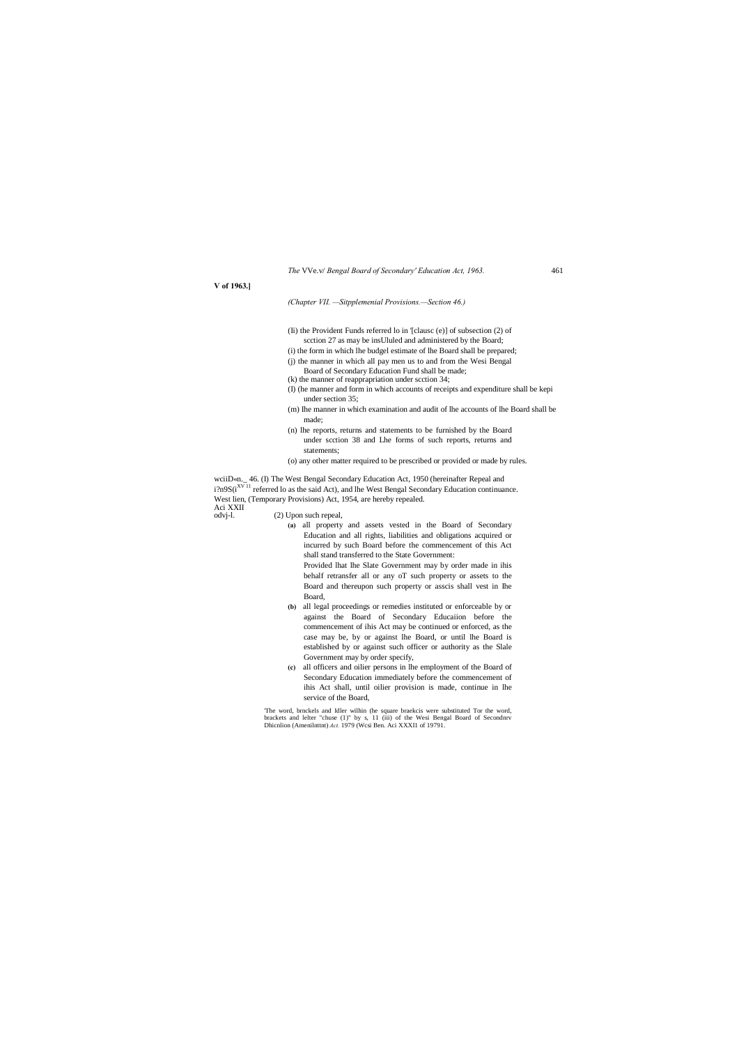*The* VVe.v/ *Bengal Board of Secondary' Education Act, 1963.* 461

#### **V of 1963.]**

*(Chapter VII. —Sitpplemenial Provisions.—Section 46.)*

- (Ii) the Provident Funds referred lo in '[clausc (e)] of subsection (2) of scction 27 as may be insUluled and administered by the Board;
- (i) the form in which lhe budgel estimate of lhe Board shall be prepared; (j) the manner in which all pay men us to and from the Wesi Bengal
- Board of Secondary Education Fund shall be made;
- (k) the manner of reapprapriation under scction 34;
- (I) (he manner and form in which accounts of receipts and expenditure shall be kepi under section 35;
- (m) Ihe manner in which examination and audit of lhe accounts of lhe Board shall be made;
- (n) lhe reports, returns and statements to be furnished by the Board under scction 38 and Lhe forms of such reports, returns and statements;
- (o) any other matter required to be prescribed or provided or made by rules.

wciiD«n.\_ 46. (I) The West Bengal Secondary Education Act, 1950 (hereinafter Repeal and i?n9S(i<sup>XV11</sup> referred lo as the said Act), and lhe West Bengal Secondary Education continuance. West lien, (Temporary Provisions) Act, 1954, are hereby repealed.

Aci XXII<br>odvj-l.

(2) Upon such repeal,

**(a)** all property and assets vested in the Board of Secondary Education and all rights, liabilities and obligations acquired or incurred by such Board before the commencement of this Act shall stand transferred to the State Government: Provided lhat lhe Slate Government may by order made in ihis

behalf retransfer all or any oT such property or assets to the Board and thereupon such property or asscis shall vest in Ihe Board,

- **(b)** all legal proceedings or remedies instituted or enforceable by or against the Board of Secondary Educaiion before the commencement of ihis Act may be continued or enforced, as the case may be, by or against lhe Board, or until lhe Board is established by or against such officer or authority as the Slale Government may by order specify,
- **(c)** all officers and oilier persons in lhe employment of the Board of Secondary Education immediately before the commencement of ihis Act shall, until oilier provision is made, continue in lhe service of the Board,

'The word, brnckels and Idler wilhin (he square braekcis were substituted Tor the word, brackets and lelter "chuse (1)" by s, 11 (iii) of the Wesi Bengal Board of Secondnrv Dhicnlion (Amenilnttnt) *Act.* 1979 (Wcsi Ben. Aci XXXI1 of 19791.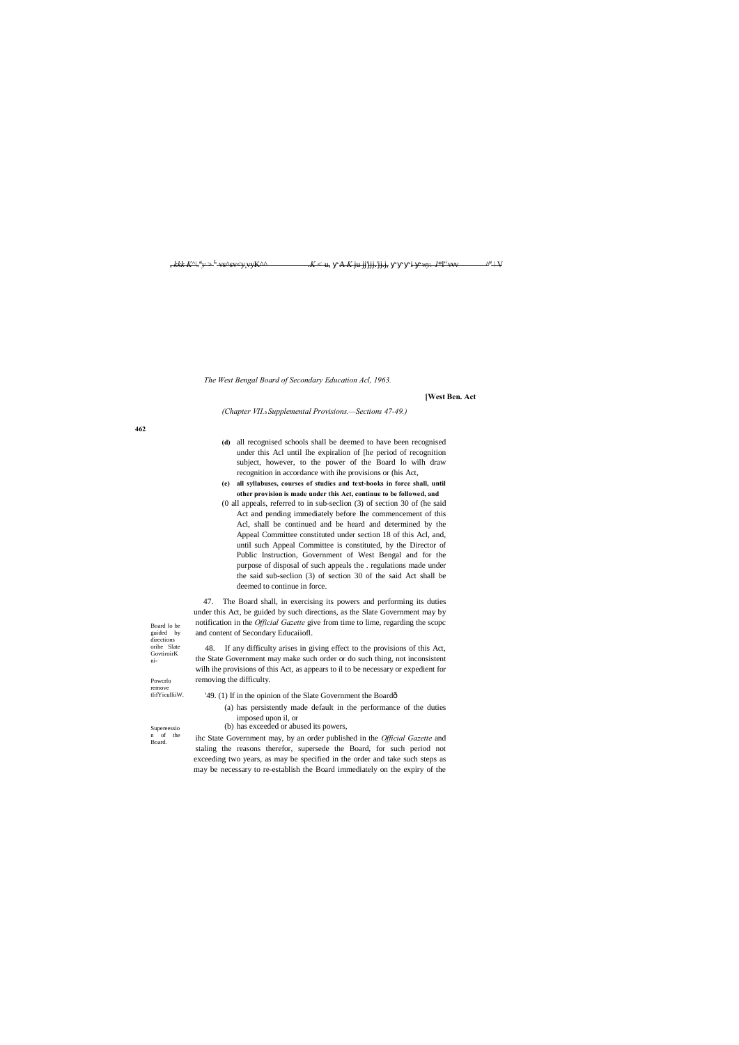Board lo be guided by directions orihe Slate GovtiroirK ni-

Powcrlo remove tlifYiculliiW.

Supereessio n of the Board.

, *kkk K^\. u* *y* > <sup>L</sup> vs^sv<y:vyK^^ *.K <* u, A *K* ju jj'jjj.'jj.j, i *wy. 1*\*l" vvv ^

 $\Delta^{\rm H}$  | V

*The West Bengal Board of Secondary Education Acl, 1963.*

#### **[West Ben. Act**

*(Chapter VII.*—*Supplemental Provisions.—Sections 47-49.)*

**(d)** all recognised schools shall be deemed to have been recognised under this Acl until Ihe expiralion of [he period of recognition subject, however, to the power of the Board lo wilh draw recognition in accordance with ihe provisions or (his Act,

**(e) all syllabuses, courses of studies and text-books in force shall, until other provision is made under this Act, continue to be followed, and**

- '49. (1) If in the opinion of the Slate Government the Boardô
	- (a) has persistently made default in the performance of the duties imposed upon il, or
	- (b) has exceeded or abused its powers,

(0 all appeals, referred to in sub-seclion (3) of section 30 of (he said Act and pending immediately before Ihe commencement of this Acl, shall be continued and be heard and determined by the Appeal Committee constituted under section 18 of this Acl, and, until such Appeal Committee is constituted, by the Director of Public Instruction, Government of West Bengal and for the purpose of disposal of such appeals the . regulations made under the said sub-seclion (3) of section 30 of the said Act shall be deemed to continue in force.

47. The Board shall, in exercising its powers and performing its duties under this Act, be guided by such directions, as the Slate Government may by notification in the *Official Gazette* give from time to lime, regarding the scopc and content of Secondary Educaiiofl.

48. If any difficulty arises in giving effect to the provisions of this Act, the State Government may make such order or do such thing, not inconsistent wilh ihe provisions of this Act, as appears to il to be necessary or expedient for removing the difficulty.

ihc State Government may, by an order published in the *Official Gazette* and staling the reasons therefor, supersede the Board, for such period not exceeding two years, as may be specified in the order and take such steps as may be necessary to re-establish the Board immediately on the expiry of the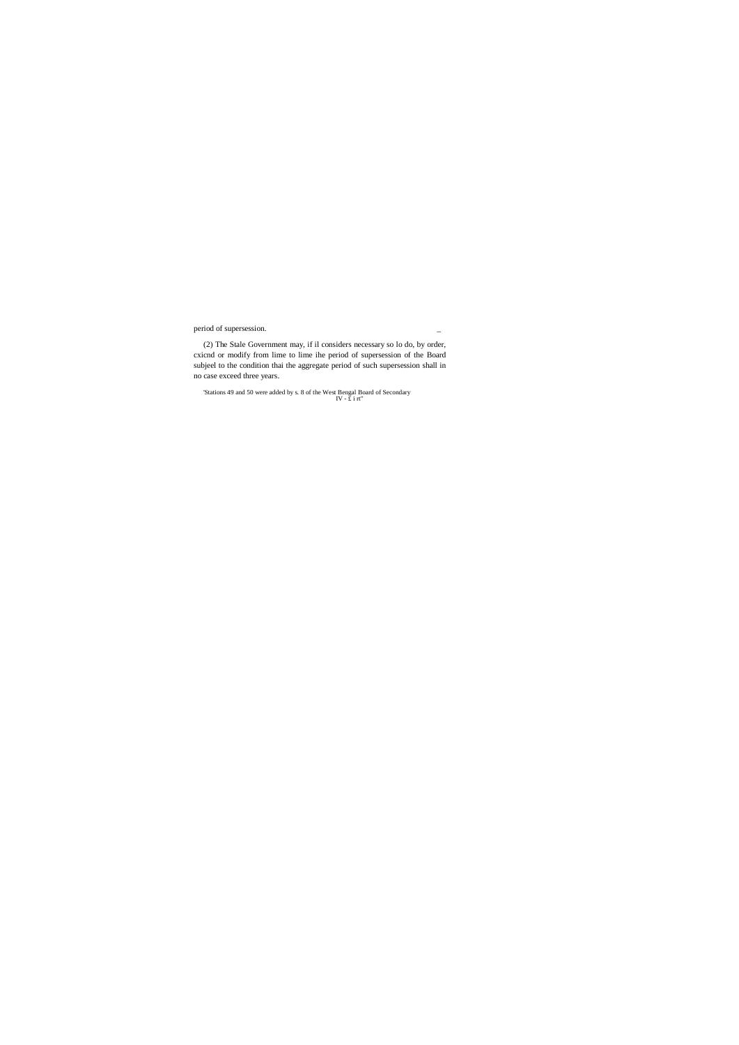period of supersession.

(2) The Stale Government may, if il considers necessary so lo do, by order, cxicnd or modify from lime to lime ihe period of supersession of the Board subjeel to the condition thai the aggregate period of such supersession shall in no case exceed three years.

'Stations 49 and 50 were added by s. 8 of the West Bengal Board of Secondary IV - £ i rt"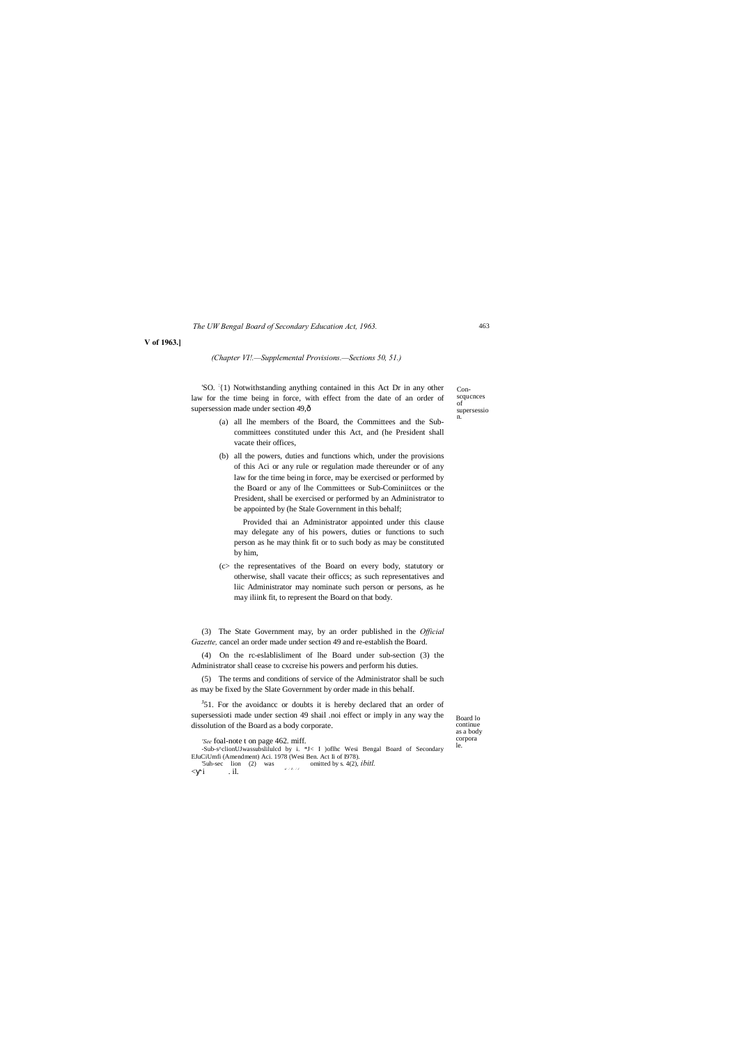Conscqucnces of supersessio 'SO. <sup>:</sup>{1) Notwithstanding anything contained in this Act Dr in any other law for the time being in force, with effect from the date of an order of supersession made under section 49, $\hat{\text{o}}$ 

> Board lo continue as a body corpora le.

n.

*c : t. : <sup>J</sup>*

 $\langle i \rangle$  . il.

*The UW Bengal Board of Secondary Education Act, 1963.*

**V of 1963.]**

*(Chapter VI!.—Supplemental Provisions.—Sections 50, 51.)*

- (a) all lhe members of the Board, the Committees and the Subcommittees constituted under this Act, and (he President shall vacate their offices,
- (b) all the powers, duties and functions which, under the provisions of this Aci or any rule or regulation made thereunder or of any law for the time being in force, may be exercised or performed by the Board or any of lhe Committees or Sub-Cominiitces or the President, shall be exercised or performed by an Administrator to be appointed by (he Stale Government in this behalf;

 $J_51$ . For the avoidance or doubts it is hereby declared that an order of supersessioti made under section 49 shail .noi effect or imply in any way the dissolution of the Board as a body corporate.

Provided thai an Administrator appointed under this clause may delegate any of his powers, duties or functions to such person as he may think fit or to such body as may be constituted by him,

(c> the representatives of the Board on every body, statutory or otherwise, shall vacate their officcs; as such representatives and liic Administrator may nominate such person or persons, as he may iliink fit, to represent the Board on that body.

(3) The State Government may, by an order published in the *Official Gazette,* cancel an order made under section 49 and re-establish the Board.

(4) On the rc-eslablisliment of lhe Board under sub-section (3) the Administrator shall cease to cxcreise his powers and perform his duties.

(5) The terms and conditions of service of the Administrator shall be such as may be fixed by the Slate Government by order made in this behalf.

*'See* foal-note t on page 462. miff. -Sub-s^clionUJwassubslilulcd by i. \*J< I )oflhc Wesi Bengal Board of Secondary EJuCiUmfi (Amendment) Aci. 1978 (Wesi Ben. Act Ii of I978). '5uh-sec lion (2) was omitted by s. 4(2), *ibitl.*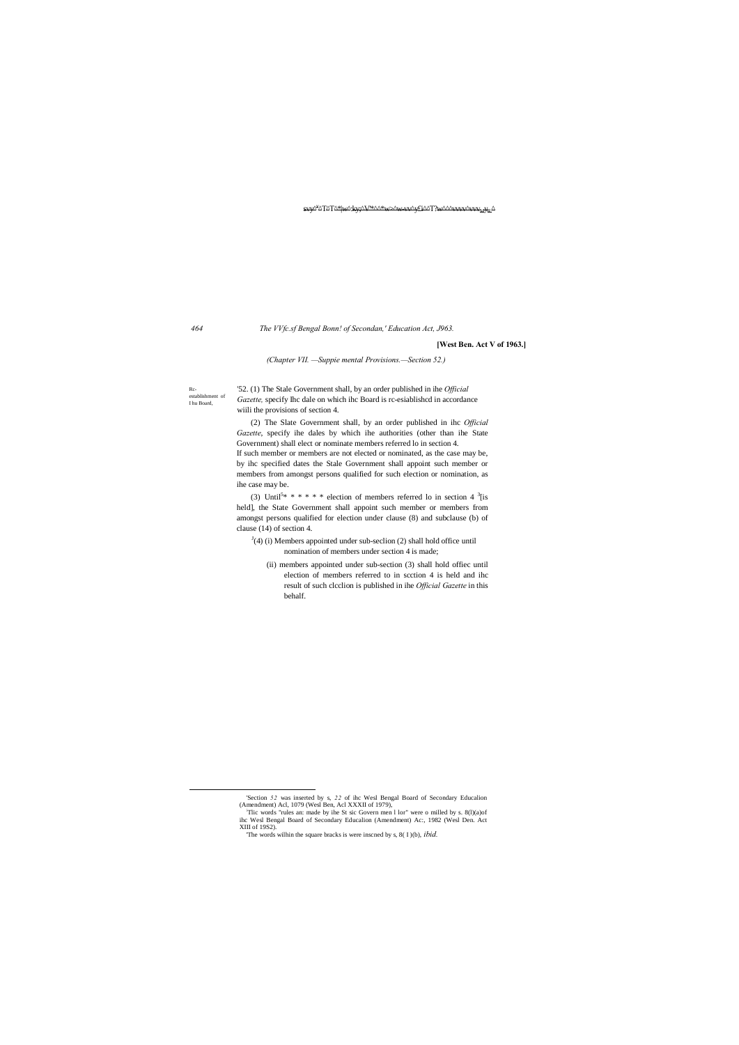Rcestablishment of I hu Board,

#### <del>svy^</del>°^T^T^\*|<del>w</del>^;ky;^V\*^ ^T^T^\*|w^:ky;^V'\*^^\*w>^w-vv^y£i^^T?w^^^vvvv^vvvMyR:^

#### *464 The VVfc.sf Bengal Bonn! of Secondan,' Education Act, J963.*

#### **[West Ben. Act V of 1963.]**

*(Chapter VII. —Suppie mental Provisions.—Section 52.)*

'52. (1) The Stale Government shall, by an order published in ihe *Official Gazette,* specify Ihc dale on which ihc Board is rc-esiablishcd in accordance wiili the provisions of section 4.

(2) The Slate Government shall, by an order published in ihc *Official Gazette*, specify ihe dales by which ihe authorities (other than ihe State Government) shall elect or nominate members referred lo in section 4.

(3) Until<sup>5\*</sup> \* \* \* \* \* election of members referred lo in section 4  $\frac{3}{1}$  is held], the State Government shall appoint such member or members from amongst persons qualified for election under clause (8) and subclause (b) of clause (14) of section 4.

- $J<sup>J</sup>(4)$  (i) Members appointed under sub-seclion (2) shall hold office until nomination of members under section 4 is made;
	- (ii) members appointed under sub-section (3) shall hold offiec until election of members referred to in scction 4 is held and ihc result of such clcclion is published in ihe *Official Gazette* in this behalf.

 'Section *<sup>52</sup>* was inserted by s, *<sup>22</sup>* of ihc Wesl Bengal Board of Secondary Educalion (Amendment) Acl, 1079 (Wesl Ben, Acl XXXII of 1979),

If such member or members are not elected or nominated, as the case may be, by ihc specified dates the Stale Government shall appoint such member or members from amongst persons qualified for such election or nomination, as ihe case may be.

Tlic words "rules an: made by ihe St sic Govern men l lor" were o milled by s. 8(l)(a)of ihc Wesl Bengal Board of Secondary Educalion (Amendment) Ac:, 1982 (Wesl Den. Act XIII of 19S2).

'The words wilhin the square bracks is were inscned by s, 8( I )(b), *ibid.*